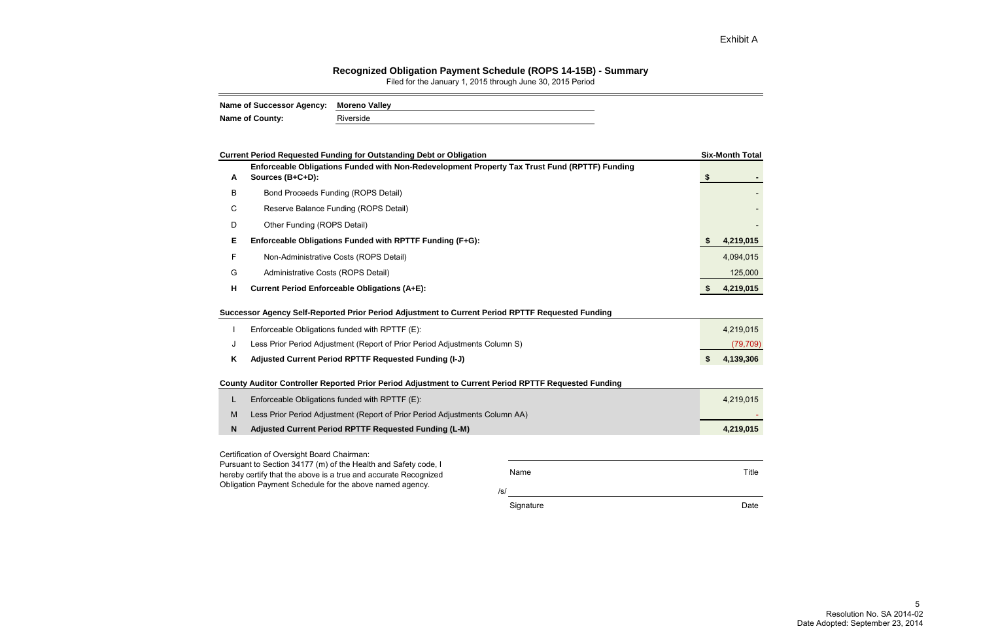## **Recognized Obligation Payment Schedule (ROPS 14-15B) - Summary**

Filed for the January 1, 2015 through June 30, 2015 Period

| Name of Successor Agency: Moreno Valley |           |
|-----------------------------------------|-----------|
| <b>Name of County:</b>                  | Riverside |

|   | <b>Current Period Requested Funding for Outstanding Debt or Obligation</b>                                                                                                                                                       |           |                           | <b>Six-Month Total</b> |
|---|----------------------------------------------------------------------------------------------------------------------------------------------------------------------------------------------------------------------------------|-----------|---------------------------|------------------------|
| A | Enforceable Obligations Funded with Non-Redevelopment Property Tax Trust Fund (RPTTF) Funding<br>Sources (B+C+D):                                                                                                                |           | $\boldsymbol{\hat{\ast}}$ |                        |
| B | <b>Bond Proceeds Funding (ROPS Detail)</b>                                                                                                                                                                                       |           |                           |                        |
| C | Reserve Balance Funding (ROPS Detail)                                                                                                                                                                                            |           |                           |                        |
| D | Other Funding (ROPS Detail)                                                                                                                                                                                                      |           |                           |                        |
| Е | Enforceable Obligations Funded with RPTTF Funding (F+G):                                                                                                                                                                         |           |                           | 4,219,015              |
| F | Non-Administrative Costs (ROPS Detail)                                                                                                                                                                                           |           |                           | 4,094,015              |
| G | Administrative Costs (ROPS Detail)                                                                                                                                                                                               |           |                           | 125,000                |
| H | <b>Current Period Enforceable Obligations (A+E):</b>                                                                                                                                                                             |           | \$                        | 4,219,015              |
| J | Successor Agency Self-Reported Prior Period Adjustment to Current Period RPTTF Requested Funding<br>Enforceable Obligations funded with RPTTF (E):<br>Less Prior Period Adjustment (Report of Prior Period Adjustments Column S) |           |                           | 4,219,015<br>(79, 709) |
| Κ | Adjusted Current Period RPTTF Requested Funding (I-J)                                                                                                                                                                            |           | \$                        | 4,139,306              |
|   | County Auditor Controller Reported Prior Period Adjustment to Current Period RPTTF Requested Funding                                                                                                                             |           |                           |                        |
| L | Enforceable Obligations funded with RPTTF (E):                                                                                                                                                                                   |           |                           | 4,219,015              |
| M | Less Prior Period Adjustment (Report of Prior Period Adjustments Column AA)                                                                                                                                                      |           |                           |                        |
| N | Adjusted Current Period RPTTF Requested Funding (L-M)                                                                                                                                                                            |           |                           | 4,219,015              |
|   | Certification of Oversight Board Chairman:                                                                                                                                                                                       |           |                           |                        |
|   | Pursuant to Section 34177 (m) of the Health and Safety code, I<br>hereby certify that the above is a true and accurate Recognized                                                                                                | Name      |                           | <b>Title</b>           |
|   | Obligation Payment Schedule for the above named agency.                                                                                                                                                                          | /s/       |                           |                        |
|   |                                                                                                                                                                                                                                  | Signature |                           | Date                   |

Exhibit A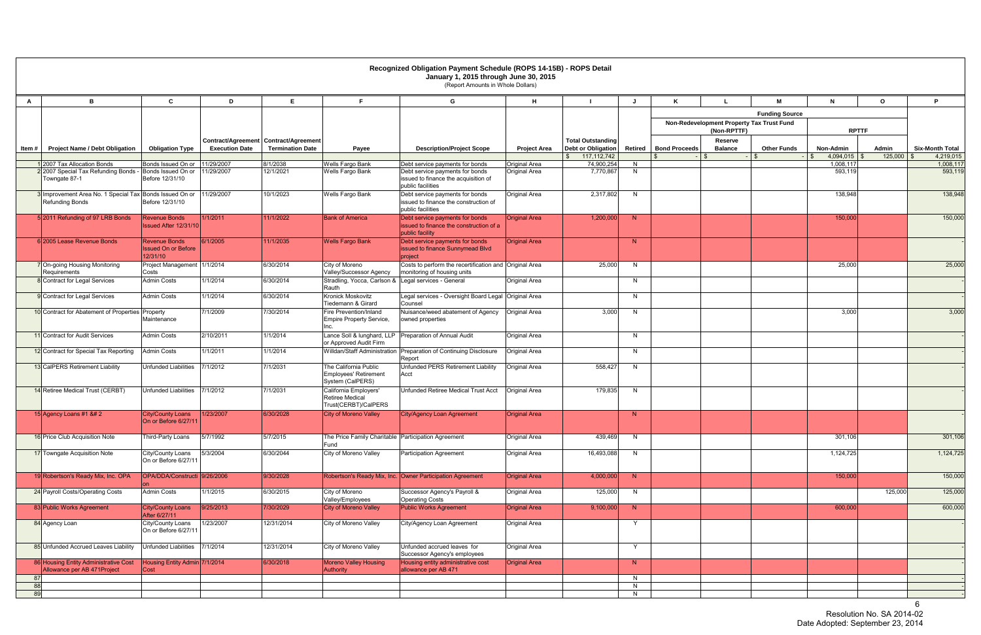|          |                                                                            |                                                                |                       |                                                                    |                                                                           | Recognized Obligation Payment Schedule (ROPS 14-15B) - ROPS Detail<br>January 1, 2015 through June 30, 2015<br>(Report Amounts in Whole Dollars) |                      |                                                                        |         |                      |                                                          |                       |                             |                  |                        |
|----------|----------------------------------------------------------------------------|----------------------------------------------------------------|-----------------------|--------------------------------------------------------------------|---------------------------------------------------------------------------|--------------------------------------------------------------------------------------------------------------------------------------------------|----------------------|------------------------------------------------------------------------|---------|----------------------|----------------------------------------------------------|-----------------------|-----------------------------|------------------|------------------------|
| A        | B.                                                                         | C                                                              | D                     | E                                                                  |                                                                           | G                                                                                                                                                | н                    |                                                                        | J.      |                      |                                                          | м                     | N                           | $\mathbf{o}$     | P                      |
|          |                                                                            |                                                                |                       |                                                                    |                                                                           |                                                                                                                                                  |                      |                                                                        |         |                      |                                                          | <b>Funding Source</b> |                             |                  |                        |
|          |                                                                            |                                                                |                       |                                                                    |                                                                           |                                                                                                                                                  |                      |                                                                        |         |                      | Non-Redevelopment Property Tax Trust Fund<br>(Non-RPTTF) |                       | <b>RPTTF</b>                |                  |                        |
| Item #   | <b>Project Name / Debt Obligation</b>                                      | <b>Obligation Type</b>                                         | <b>Execution Date</b> | Contract/Agreement   Contract/Agreement<br><b>Termination Date</b> | Payee                                                                     | <b>Description/Project Scope</b>                                                                                                                 | <b>Project Area</b>  | <b>Total Outstanding</b><br><b>Debt or Obligation</b><br>117, 112, 742 | Retired | <b>Bond Proceeds</b> | Reserve<br><b>Balance</b>                                | <b>Other Funds</b>    | Non-Admin<br>$4,094,015$ \$ | Admin<br>125,000 | <b>Six-Month Total</b> |
|          | 2007 Tax Allocation Bonds                                                  | Bonds Issued On or                                             | 11/29/2007            | 8/1/2038                                                           | Wells Fargo Bank                                                          | Debt service payments for bonds                                                                                                                  | Original Area        | $\mathbb{S}$<br>74,900,254                                             | N       |                      |                                                          |                       | 1,008,117                   |                  | 4,219,015<br>1,008,117 |
|          | 22007 Special Tax Refunding Bonds - Bonds Issued On or<br>Towngate 87-1    | Before 12/31/10                                                | 11/29/2007            | 12/1/2021                                                          | Wells Fargo Bank                                                          | Debt service payments for bonds<br>issued to finance the acquisition of<br>public facilities                                                     | Original Area        | 7,770,867                                                              | N       |                      |                                                          |                       | 593,119                     |                  | 593,119                |
|          | 3 Improvement Area No. 1 Special Tax Bonds Issued On or<br>Refunding Bonds | Before 12/31/10                                                | 11/29/2007            | 10/1/2023                                                          | Wells Fargo Bank                                                          | Debt service payments for bonds<br>issued to finance the construction of<br>public facilities                                                    | Original Area        | 2,317,802                                                              | N       |                      |                                                          |                       | 138,948                     |                  | 138,948                |
|          | 5 2011 Refunding of 97 LRB Bonds                                           | <b>Revenue Bonds</b><br>Issued After 12/31/10                  | 1/1/2011              | 11/1/2022                                                          | <b>Bank of America</b>                                                    | Debt service payments for bonds<br>issued to finance the construction of a<br>public facility                                                    | <b>Original Area</b> | 1,200,000                                                              | N       |                      |                                                          |                       | 150,000                     |                  | 150,000                |
|          | 6 2005 Lease Revenue Bonds                                                 | <b>Revenue Bonds</b><br><b>Issued On or Before</b><br>12/31/10 | 6/1/2005              | 11/1/2035                                                          | <b>Wells Fargo Bank</b>                                                   | Debt service payments for bonds<br>issued to finance Sunnymead Blvd<br>project                                                                   | <b>Original Area</b> |                                                                        | N       |                      |                                                          |                       |                             |                  |                        |
|          | 7 On-going Housing Monitoring<br>Requirements                              | Project Management 1/1/2014<br>Costs                           |                       | 6/30/2014                                                          | City of Moreno<br>Valley/Successor Agency                                 | Costs to perform the recertification and Original Area<br>monitoring of housing units                                                            |                      | 25,000                                                                 | N       |                      |                                                          |                       | 25,000                      |                  | 25,000                 |
|          | 8 Contract for Legal Services                                              | <b>Admin Costs</b>                                             | 1/1/2014              | 6/30/2014                                                          | Stradling, Yocca, Carlson & Legal services - General<br>Rauth             |                                                                                                                                                  | Original Area        |                                                                        | N       |                      |                                                          |                       |                             |                  |                        |
|          | 9 Contract for Legal Services                                              | <b>Admin Costs</b>                                             | 1/1/2014              | 6/30/2014                                                          | Kronick Moskovitz<br>Tiedemann & Girard                                   | Legal services - Oversight Board Legal Original Area<br>Counsel                                                                                  |                      |                                                                        | N       |                      |                                                          |                       |                             |                  |                        |
|          | 10 Contract for Abatement of Properties Property                           | Maintenance                                                    | 7/1/2009              | 7/30/2014                                                          | Fire Prevention/Inland<br>Empire Property Service,<br>Inc.                | Nuisance/weed abatement of Agency<br>owned properties                                                                                            | <b>Original Area</b> | 3,000                                                                  | N       |                      |                                                          |                       | 3,000                       |                  | 3,000                  |
|          | 11 Contract for Audit Services                                             | <b>Admin Costs</b>                                             | 2/10/2011             | 1/1/2014                                                           | or Approved Audit Firm                                                    | Lance Soll & lunghard, LLP   Preparation of Annual Audit                                                                                         | Original Area        |                                                                        | N       |                      |                                                          |                       |                             |                  |                        |
|          | 12 Contract for Special Tax Reporting                                      | <b>Admin Costs</b>                                             | 1/1/2011              | 1/1/2014                                                           |                                                                           | Willdan/Staff Administration   Preparation of Continuing Disclosure<br>Report                                                                    | Original Area        |                                                                        | N       |                      |                                                          |                       |                             |                  |                        |
|          | 13 CalPERS Retirement Liability                                            | <b>Unfunded Liabilities</b>                                    | 7/1/2012              | 7/1/2031                                                           | The California Public<br><b>Employees' Retirement</b><br>System (CalPERS) | Unfunded PERS Retirement Liability<br>Acct                                                                                                       | Original Area        | 558,427                                                                | N       |                      |                                                          |                       |                             |                  |                        |
|          | 14 Retiree Medical Trust (CERBT)                                           | <b>Unfunded Liabilities</b>                                    | 7/1/2012              | 7/1/2031                                                           | California Employers'<br><b>Retiree Medical</b><br>Trust(CERBT)/CalPERS   | Unfunded Retiree Medical Trust Acct                                                                                                              | Original Area        | 179,835                                                                | N       |                      |                                                          |                       |                             |                  |                        |
|          | 15 Agency Loans #1 $&4$ 2                                                  | <b>City/County Loans</b><br>On or Before 6/27/11               | 1/23/2007             | 6/30/2028                                                          | <b>City of Moreno Valley</b>                                              | City/Agency Loan Agreement                                                                                                                       | <b>Original Area</b> |                                                                        | N       |                      |                                                          |                       |                             |                  |                        |
|          | 16 Price Club Acquisition Note                                             | Third-Party Loans                                              | 5/7/1992              | 5/7/2015                                                           | The Price Family Charitable   Participation Agreement<br>Fund             |                                                                                                                                                  | Original Area        | 439,469                                                                | N.      |                      |                                                          |                       | 301,106                     |                  | 301,106                |
|          | 17 Towngate Acquisition Note                                               | City/County Loans<br>On or Before 6/27/11                      | 5/3/2004              | 6/30/2044                                                          | City of Moreno Valley                                                     | <b>Participation Agreement</b>                                                                                                                   | Original Area        | 16,493,088                                                             | N       |                      |                                                          |                       | 1,124,725                   |                  | 1,124,725              |
|          | 19 Robertson's Ready Mix, Inc. OPA                                         | OPA/DDA/Constructi 9/26/2006                                   |                       | 9/30/2028                                                          |                                                                           | Robertson's Ready Mix, Inc. Owner Participation Agreement                                                                                        | <b>Original Area</b> | 4,000,000                                                              | N       |                      |                                                          |                       | 150,000                     |                  | 150,000                |
|          | 24 Payroll Costs/Operating Costs                                           | <b>Admin Costs</b>                                             | 1/1/2015              | 6/30/2015                                                          | City of Moreno<br>Valley/Employees                                        | Successor Agency's Payroll &<br><b>Operating Costs</b>                                                                                           | Original Area        | 125,000                                                                | N       |                      |                                                          |                       |                             | 125,000          | 125,000                |
|          | 83 Public Works Agreement                                                  | <b>City/County Loans</b><br>After 6/27/11                      | 9/25/2013             | 7/30/2029                                                          | <b>City of Moreno Valley</b>                                              | <b>Public Works Agreement</b>                                                                                                                    | <b>Original Area</b> | 9,100,000                                                              | N       |                      |                                                          |                       | 600,000                     |                  | 600,000                |
|          | 84 Agency Loan                                                             | City/County Loans<br>On or Before 6/27/11                      | 1/23/2007             | 12/31/2014                                                         | City of Moreno Valley                                                     | City/Agency Loan Agreement                                                                                                                       | Original Area        |                                                                        | Y       |                      |                                                          |                       |                             |                  |                        |
|          | 85 Unfunded Accrued Leaves Liability                                       | <b>Unfunded Liabilities</b>                                    | 7/1/2014              | 12/31/2014                                                         | City of Moreno Valley                                                     | Unfunded accrued leaves for<br>Successor Agency's employees                                                                                      | Original Area        |                                                                        | Y       |                      |                                                          |                       |                             |                  |                        |
|          | 86 Housing Entity Administrative Cost<br>Allowance per AB 471Project       | Housing Entity Admin 7/1/2014<br>Cost                          |                       | 6/30/2018                                                          | <b>Moreno Valley Housing</b><br>Authority                                 | Housing entity administrative cost<br>allowance per AB 471                                                                                       | <b>Original Area</b> |                                                                        | N       |                      |                                                          |                       |                             |                  |                        |
| 87       |                                                                            |                                                                |                       |                                                                    |                                                                           |                                                                                                                                                  |                      |                                                                        | N       |                      |                                                          |                       |                             |                  |                        |
| 88<br>89 |                                                                            |                                                                |                       |                                                                    |                                                                           |                                                                                                                                                  |                      |                                                                        | N<br>N  |                      |                                                          |                       |                             |                  |                        |
|          |                                                                            |                                                                |                       |                                                                    |                                                                           |                                                                                                                                                  |                      |                                                                        |         |                      |                                                          |                       |                             |                  |                        |

 $\sim$  6 Resolution No. SA 2014-02 Date Adopted: September 23, 2014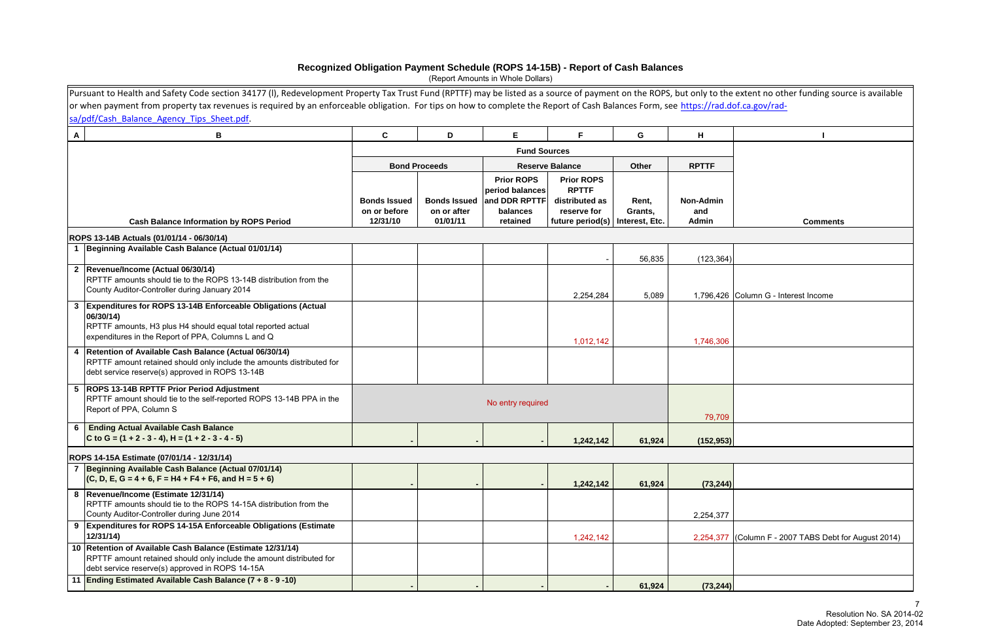|                | Pursuant to Health and Safety Code section 34177 (I), Redevelopment Property Tax Trust Fund (RPTTF) may be listed as a source of payment on the ROPS, but only to the extent no other funding source is available<br>or when payment from property tax revenues is required by an enforceable obligation. For tips on how to complete the Report of Cash Balances Form, see https://rad.dof.ca.gov/rad- |                                                 |                                                |                                                                               |                                                                                                         |                  |                                  |                                                       |
|----------------|---------------------------------------------------------------------------------------------------------------------------------------------------------------------------------------------------------------------------------------------------------------------------------------------------------------------------------------------------------------------------------------------------------|-------------------------------------------------|------------------------------------------------|-------------------------------------------------------------------------------|---------------------------------------------------------------------------------------------------------|------------------|----------------------------------|-------------------------------------------------------|
|                | sa/pdf/Cash Balance Agency Tips Sheet.pdf.                                                                                                                                                                                                                                                                                                                                                              |                                                 |                                                |                                                                               |                                                                                                         |                  |                                  |                                                       |
| A              | В                                                                                                                                                                                                                                                                                                                                                                                                       | C                                               | D                                              | Е                                                                             | F                                                                                                       | G                | H                                |                                                       |
|                |                                                                                                                                                                                                                                                                                                                                                                                                         |                                                 |                                                | <b>Fund Sources</b>                                                           |                                                                                                         |                  |                                  |                                                       |
|                |                                                                                                                                                                                                                                                                                                                                                                                                         |                                                 | <b>Bond Proceeds</b>                           |                                                                               | <b>Reserve Balance</b>                                                                                  | Other            | <b>RPTTF</b>                     |                                                       |
|                | <b>Cash Balance Information by ROPS Period</b>                                                                                                                                                                                                                                                                                                                                                          | <b>Bonds Issued</b><br>on or before<br>12/31/10 | <b>Bonds Issued</b><br>on or after<br>01/01/11 | <b>Prior ROPS</b><br>period balances<br>and DDR RPTTF<br>balances<br>retained | <b>Prior ROPS</b><br><b>RPTTF</b><br>distributed as<br>reserve for<br>future period(s)   Interest, Etc. | Rent,<br>Grants, | <b>Non-Admin</b><br>and<br>Admin | <b>Comments</b>                                       |
|                | ROPS 13-14B Actuals (01/01/14 - 06/30/14)                                                                                                                                                                                                                                                                                                                                                               |                                                 |                                                |                                                                               |                                                                                                         |                  |                                  |                                                       |
|                | Beginning Available Cash Balance (Actual 01/01/14)                                                                                                                                                                                                                                                                                                                                                      |                                                 |                                                |                                                                               |                                                                                                         | 56,835           | (123, 364)                       |                                                       |
|                | 2 Revenue/Income (Actual 06/30/14)<br>RPTTF amounts should tie to the ROPS 13-14B distribution from the<br>County Auditor-Controller during January 2014                                                                                                                                                                                                                                                |                                                 |                                                |                                                                               | 2,254,284                                                                                               | 5,089            |                                  | 1,796,426 Column G - Interest Income                  |
|                | <b>Expenditures for ROPS 13-14B Enforceable Obligations (Actual</b><br>06/30/14)<br>RPTTF amounts, H3 plus H4 should equal total reported actual<br>expenditures in the Report of PPA, Columns L and Q                                                                                                                                                                                                  |                                                 |                                                |                                                                               | 1,012,142                                                                                               |                  | 1,746,306                        |                                                       |
| $\overline{4}$ | Retention of Available Cash Balance (Actual 06/30/14)<br>RPTTF amount retained should only include the amounts distributed for<br>debt service reserve(s) approved in ROPS 13-14B                                                                                                                                                                                                                       |                                                 |                                                |                                                                               |                                                                                                         |                  |                                  |                                                       |
|                | 5 ROPS 13-14B RPTTF Prior Period Adjustment<br>RPTTF amount should tie to the self-reported ROPS 13-14B PPA in the<br>Report of PPA, Column S                                                                                                                                                                                                                                                           |                                                 |                                                | No entry required                                                             |                                                                                                         |                  | 79,709                           |                                                       |
| 6              | <b>Ending Actual Available Cash Balance</b><br>C to G = $(1 + 2 - 3 - 4)$ , H = $(1 + 2 - 3 - 4 - 5)$                                                                                                                                                                                                                                                                                                   |                                                 |                                                |                                                                               | 1,242,142                                                                                               | 61,924           | (152, 953)                       |                                                       |
|                | ROPS 14-15A Estimate (07/01/14 - 12/31/14)                                                                                                                                                                                                                                                                                                                                                              |                                                 |                                                |                                                                               |                                                                                                         |                  |                                  |                                                       |
|                | 7 Beginning Available Cash Balance (Actual 07/01/14)<br>$(C, D, E, G = 4 + 6, F = H4 + F4 + F6, and H = 5 + 6)$                                                                                                                                                                                                                                                                                         |                                                 |                                                |                                                                               | 1,242,142                                                                                               | 61,924           | (73, 244)                        |                                                       |
| 8              | Revenue/Income (Estimate 12/31/14)<br>RPTTF amounts should tie to the ROPS 14-15A distribution from the<br>County Auditor-Controller during June 2014                                                                                                                                                                                                                                                   |                                                 |                                                |                                                                               |                                                                                                         |                  | 2,254,377                        |                                                       |
| 9              | <b>Expenditures for ROPS 14-15A Enforceable Obligations (Estimate)</b><br>12/31/14                                                                                                                                                                                                                                                                                                                      |                                                 |                                                |                                                                               | 1,242,142                                                                                               |                  |                                  | 2,254,377 (Column F - 2007 TABS Debt for August 2014) |
|                | 10 Retention of Available Cash Balance (Estimate 12/31/14)<br>RPTTF amount retained should only include the amount distributed for<br>debt service reserve(s) approved in ROPS 14-15A                                                                                                                                                                                                                   |                                                 |                                                |                                                                               |                                                                                                         |                  |                                  |                                                       |
| 11             | Ending Estimated Available Cash Balance $(7 + 8 - 9 - 10)$                                                                                                                                                                                                                                                                                                                                              |                                                 |                                                |                                                                               |                                                                                                         | 61,924           | (73, 244)                        |                                                       |

# **Recognized Obligation Payment Schedule (ROPS 14-15B) - Report of Cash Balances**

(Report Amounts in Whole Dollars)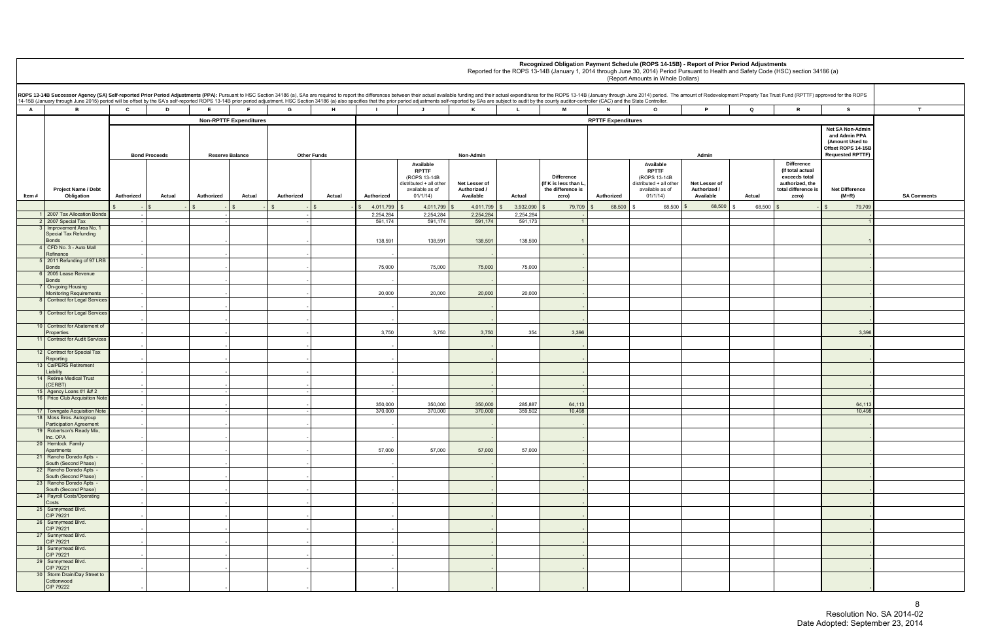|     |              | lopment Property Tax Trust Fund (RPTTF) approved for the ROPS                                      |                                                                                                              |                    |
|-----|--------------|----------------------------------------------------------------------------------------------------|--------------------------------------------------------------------------------------------------------------|--------------------|
|     | Q            | R                                                                                                  | S                                                                                                            | T                  |
|     |              |                                                                                                    | <b>Net SA Non-Admin</b><br>and Admin PPA<br>(Amount Used to<br>Offset ROPS 14-15B<br><b>Requested RPTTF)</b> |                    |
| f   | Actual       | Difference<br>(If total actual<br>exceeds total<br>authorized, the<br>total difference is<br>zero) | <b>Net Difference</b><br>$(M+R)$                                                                             | <b>SA Comments</b> |
| i00 | \$<br>68,500 | \$<br>$\overline{\phantom{a}}$                                                                     | 79,709<br>\$                                                                                                 |                    |
|     |              |                                                                                                    | $\overline{\phantom{a}}$<br>$\overline{1}$                                                                   |                    |
|     |              |                                                                                                    | $\mathbf{1}$                                                                                                 |                    |
|     |              |                                                                                                    | $\overline{a}$                                                                                               |                    |
|     |              |                                                                                                    | -                                                                                                            |                    |
|     |              |                                                                                                    | -                                                                                                            |                    |
|     |              |                                                                                                    | -                                                                                                            |                    |
|     |              |                                                                                                    | $\overline{\phantom{m}}$                                                                                     |                    |
|     |              |                                                                                                    | $\overline{a}$                                                                                               |                    |
|     |              |                                                                                                    | 3,396                                                                                                        |                    |
|     |              |                                                                                                    | -                                                                                                            |                    |
|     |              |                                                                                                    | -                                                                                                            |                    |
|     |              |                                                                                                    | ÷                                                                                                            |                    |
|     |              |                                                                                                    | -<br>$\blacksquare$                                                                                          |                    |
|     |              |                                                                                                    | 64,113                                                                                                       |                    |
|     |              |                                                                                                    | 10,498                                                                                                       |                    |
|     |              |                                                                                                    | $\overline{a}$                                                                                               |                    |
|     |              |                                                                                                    |                                                                                                              |                    |
|     |              |                                                                                                    |                                                                                                              |                    |
|     |              |                                                                                                    | -                                                                                                            |                    |
|     |              |                                                                                                    | -                                                                                                            |                    |
|     |              |                                                                                                    | -                                                                                                            |                    |
|     |              |                                                                                                    | $\overline{a}$                                                                                               |                    |
|     |              |                                                                                                    | $\overline{\phantom{m}}$                                                                                     |                    |
|     |              |                                                                                                    | -                                                                                                            |                    |
|     |              |                                                                                                    | $\overline{a}$<br>-                                                                                          |                    |
|     |              |                                                                                                    | -                                                                                                            |                    |
|     |              |                                                                                                    |                                                                                                              |                    |

**A B C D E F G H I J K L M N O P Q R S T Authorized Actual Authorized Actual Authorized Actual Authorized Available RPTTF**  (ROPS 13-14B distributed + all other available as of 01/1/14)  **Net Lesser of Authorized / Available Actual Difference (If K is less than L, the difference is zero) Authorized Available RPTTF**  (ROPS 13-14B distributed + all other available as of 01/1/14) **Net Lesser of Authorized / Available** \$ - \$ - \$ - \$ - \$ - \$ - \$ - \$ - \$ 4,011,799 \$ 4,011,799 \$ 4,011,799 \$ 3,932,090 \$ 79,709 \$ 68,500 \$ 68,500 \$ 68,500 \$ - \$ 79,709 \$ 1 2007 Tax Allocation Bonds - - - 2,254,284 2,254,284 2,254,284 2,254,284 - - 2 2007 Special Tax **3** Improvement Area No. 1 - - - 591,174 591,174 591,174 591,173 1 1 Special Tax Refunding Bonds - | - | | -| | -| | -| | 138,591 | 138,591 | 138,591 | 138,590 | 1 | | | | | | | | | | 4 CFD No. 3 - Auto Mall<br>Refinance Refinance - - - - - - - 5 2011 Refunding of 97 LRB Bonds - | - | | -| | -| | -| | 75,000 75,000 75,000 75,000 75,000 - | | | | | | | 6 2005 Lease Revenue Bonds - - - - - - - **On-going Housing** Monitoring Requirements | - - | -| | -| | 20,000 20,000 20,000 20,000 20,000 - | | | | | | | | Contract for Legal Services - - - - - - - **Contract for Legal Services**  - - - - - - - 10 Contract for Abatement of Properties - - - | - | - | - | - | 3,750 3,750 3,750 3,750 3,396 3,396 3,396 3,396 3,396 3,396 3,396 3,396 3,396 3,396 3,396 3,396 3,396 3,396 3,396 3,396 3,396 3,396 3,396 3,396 3,396 3,396 3,396 3,396 3,396 3,396 3,396 3 11 Contract for Audit Services - - - - - - - 12 Contract for Special Tax Reporting - - - - - - - 13 CalPERS Retirement<br>Liability Liability - - - - - - - 14 Retiree Medical Trust (CERBT) - - - - - - - 15 Agency Loans #1 &# 2 - - - - - - - 16 Price Club Acquisition Note - - - 350,000 350,000 350,000 285,887 64,113 64,113 17 | Towngate Acquisition Note - | | | | | | | 370,000 | 370,000 | 370,000 | 359,502 | 10,498 | | | | | | | | 18 Moss Bros. Autogroup<br>Participation Agreement Participation Agreement - - - - - - - 19 Robertson's Ready Mix,<br>Inc. OPA Inc. OPA - - - - - - - 20 Hemlock Family<br>Apartments Apartments - - - 57,000 57,000 57,000 57,000 - - 21 Rancho Dorado Apts<br>South (Second Phase) South (Second Phase) - - - - - - - 22 Rancho Dorado Apts -<br>South (Second Phase) South (Second Phase) - - - - - - - 23 Rancho Dorado Apts -<br>South (Second Phase) South (Second Phase) - - - - - - - 24 Payroll Costs/Operating Costs - - - - - - - 25 Sunnymead Blvd.<br>CIP 79221 CIP 79221 - - - - - - - 26 Sunnymead Blvd.<br>CIP 79221 CIP 79221 - - - - - - - 27 Sunnymead Blvd.<br>CIP 79221 CIP 79221 - - - - - - - 28 Sunnymead Blvd.<br>CIP 79221 CIP 79221 - - - - - - - 29 Sunnymead Blvd.<br>CIP 79221 CIP 79221 - - - - - - - 30 Storm Drain/Day Street to Cottonwood<br>CIP 79222 CIP 79222 - - - - - - - **RPTTF Expenditures Recognized Obligation Payment Schedule (ROPS 14-15B) - Report of Prior Period Adjustments** Reported for the ROPS 13-14B (January 1, 2014 through June 30, 2014) Period Pursuant to Health and Safety Code (HSC) section 34186 (a) (Report Amounts in Whole Dollars) ROPS 13-14B Successor Agency (SA) Self-reported Prior Period Adjustments (PPA): Pursuant to HSC Section 34186 (a), SAs are required to report the differences between their actual available funding and their actual expendit 14-15B (January through June 2015) period will be offset by the SA's self-reported ROPS 13-14B prior period adjustment. HSC Section 34186 (a) also specifies that the prior period adjustments self-reported by SAs are subjec **Item # Project Name / Debt Obligation Non-RPTTF Expenditures Bond Proceeds Reserve Balance Other Funds Non-Admin Admin**

en andere de la provincia de la provincia de la provincia de la provincia de la provincia de la provincia del Resolution No. SA 2014-02 Date Adopted: September 23, 2014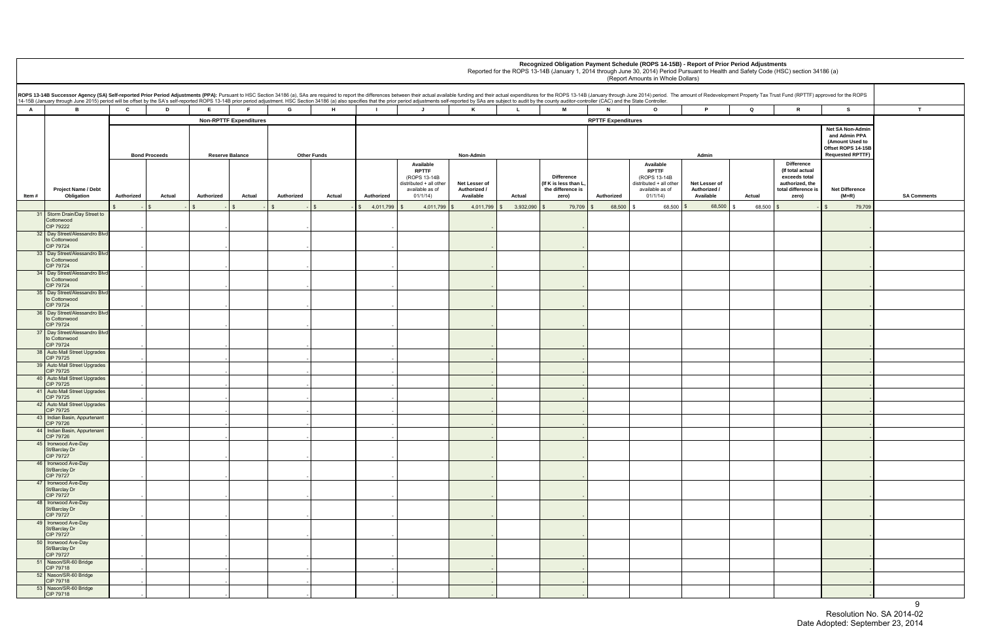|        |                                                                                          |                                                                                                                                                                                                                                                                                                                                                                                                                                                                  |                        |                               |                    |        |            |                                                                                                    |                                            |              |                                                                         |                           | Recognized Obligation Payment Schedule (ROPS 14-15B) - Report of Prior Period Adjustments<br>Reported for the ROPS 13-14B (January 1, 2014 through June 30, 2014) Period Pursuant to Health and Safety Code (HSC) section 34186 (a)<br>(Report Amounts in Whole Dollars) |                                            |        |                                                                                                           |                                                                                                       |               |
|--------|------------------------------------------------------------------------------------------|------------------------------------------------------------------------------------------------------------------------------------------------------------------------------------------------------------------------------------------------------------------------------------------------------------------------------------------------------------------------------------------------------------------------------------------------------------------|------------------------|-------------------------------|--------------------|--------|------------|----------------------------------------------------------------------------------------------------|--------------------------------------------|--------------|-------------------------------------------------------------------------|---------------------------|--------------------------------------------------------------------------------------------------------------------------------------------------------------------------------------------------------------------------------------------------------------------------|--------------------------------------------|--------|-----------------------------------------------------------------------------------------------------------|-------------------------------------------------------------------------------------------------------|---------------|
|        |                                                                                          | ROPS 13-14B Successor Agency (SA) Self-reported Prior Period Adjustments (PPA): Pursuant to HSC Section 34186 (a), SAs are required to report the differences between their actual available funding and their actual expendit<br>14-15B (January through June 2015) period will be offset by the SA's self-reported ROPS 13-14B prior period adjustment. HSC Section 34186 (a) also specifies that the prior period adjustments self-reported by SAs are subjec |                        |                               |                    |        |            |                                                                                                    |                                            |              |                                                                         |                           |                                                                                                                                                                                                                                                                          |                                            |        |                                                                                                           |                                                                                                       |               |
| A      | $\mathbf{B}$                                                                             | $\mathbf{c}$<br>D                                                                                                                                                                                                                                                                                                                                                                                                                                                | F.                     | F.                            | G                  | H      |            | J.                                                                                                 | K                                          | $\mathbf{L}$ | <b>M</b>                                                                | N                         | $\circ$                                                                                                                                                                                                                                                                  | P                                          | Q      | $\mathbf R$                                                                                               | s.                                                                                                    | $\mathbf{T}$  |
|        |                                                                                          |                                                                                                                                                                                                                                                                                                                                                                                                                                                                  |                        | <b>Non-RPTTF Expenditures</b> |                    |        |            |                                                                                                    |                                            |              |                                                                         | <b>RPTTF Expenditures</b> |                                                                                                                                                                                                                                                                          |                                            |        |                                                                                                           |                                                                                                       |               |
|        |                                                                                          | <b>Bond Proceeds</b>                                                                                                                                                                                                                                                                                                                                                                                                                                             | <b>Reserve Balance</b> |                               | <b>Other Funds</b> |        |            |                                                                                                    | Non-Admin                                  |              |                                                                         |                           |                                                                                                                                                                                                                                                                          | Admin                                      |        |                                                                                                           | Net SA Non-Admin<br>and Admin PPA<br>(Amount Used to<br>Offset ROPS 14-15B<br><b>Requested RPTTF)</b> |               |
| ltem # | Project Name / Debt<br>Obligation                                                        | Authorized<br>Actual                                                                                                                                                                                                                                                                                                                                                                                                                                             | Authorized             | Actual                        | Authorized         | Actual | Authorized | Available<br><b>RPTTF</b><br>(ROPS 13-14B<br>distributed + all other<br>available as of<br>01/1/14 | Net Lesser of<br>Authorized /<br>Available | Actual       | <b>Difference</b><br>(If K is less than L<br>the difference is<br>zero) | Authorized                | Available<br><b>RPTTF</b><br>(ROPS 13-14B<br>distributed + all other<br>available as of<br>01/1/14)                                                                                                                                                                      | Net Lesser of<br>Authorized /<br>Available | Actual | <b>Difference</b><br>(If total actual<br>exceeds total<br>authorized, the<br>total difference is<br>zero) | <b>Net Difference</b><br>$(M+R)$                                                                      | <b>SA Com</b> |
|        |                                                                                          |                                                                                                                                                                                                                                                                                                                                                                                                                                                                  |                        |                               |                    |        | 4,011,799  | 4,011,799                                                                                          | 4,011,799                                  | 3,932,090    | 79,709                                                                  | 68,500                    | 68,500                                                                                                                                                                                                                                                                   | 68,500                                     | 68,500 |                                                                                                           | 79,709                                                                                                |               |
|        | 31 Storm Drain/Day Street to<br>Cottonwood<br>CIP 79222<br>32 Day Street/Alessandro Blvd |                                                                                                                                                                                                                                                                                                                                                                                                                                                                  |                        |                               |                    |        |            |                                                                                                    |                                            |              |                                                                         |                           |                                                                                                                                                                                                                                                                          |                                            |        |                                                                                                           |                                                                                                       |               |
|        | to Cottonwood<br>CIP 79724<br>33 Day Street/Alessandro Blvd<br>to Cottonwood             |                                                                                                                                                                                                                                                                                                                                                                                                                                                                  |                        |                               |                    |        |            |                                                                                                    |                                            |              |                                                                         |                           |                                                                                                                                                                                                                                                                          |                                            |        |                                                                                                           |                                                                                                       |               |
|        | CIP 79724<br>34 Day Street/Alessandro Blvd<br>to Cottonwood                              |                                                                                                                                                                                                                                                                                                                                                                                                                                                                  |                        |                               |                    |        |            |                                                                                                    |                                            |              |                                                                         |                           |                                                                                                                                                                                                                                                                          |                                            |        |                                                                                                           |                                                                                                       |               |
|        | CIP 79724<br>35 Day Street/Alessandro Blvd<br>to Cottonwood                              |                                                                                                                                                                                                                                                                                                                                                                                                                                                                  |                        |                               |                    |        |            |                                                                                                    |                                            |              |                                                                         |                           |                                                                                                                                                                                                                                                                          |                                            |        |                                                                                                           |                                                                                                       |               |
|        | CIP 79724<br>36 Day Street/Alessandro Blvd<br>to Cottonwood                              |                                                                                                                                                                                                                                                                                                                                                                                                                                                                  |                        |                               |                    |        |            |                                                                                                    |                                            |              |                                                                         |                           |                                                                                                                                                                                                                                                                          |                                            |        |                                                                                                           |                                                                                                       |               |
|        | CIP 79724<br>37 Day Street/Alessandro Blvd<br>to Cottonwood                              |                                                                                                                                                                                                                                                                                                                                                                                                                                                                  |                        |                               |                    |        |            |                                                                                                    |                                            |              |                                                                         |                           |                                                                                                                                                                                                                                                                          |                                            |        |                                                                                                           |                                                                                                       |               |
|        | CIP 79724<br>38 Auto Mall Street Upgrades                                                |                                                                                                                                                                                                                                                                                                                                                                                                                                                                  |                        |                               |                    |        |            |                                                                                                    |                                            |              |                                                                         |                           |                                                                                                                                                                                                                                                                          |                                            |        |                                                                                                           |                                                                                                       |               |
|        | CIP 79725<br>39 Auto Mall Street Upgrades<br><b>CIP 79725</b>                            |                                                                                                                                                                                                                                                                                                                                                                                                                                                                  |                        |                               |                    |        |            |                                                                                                    |                                            |              |                                                                         |                           |                                                                                                                                                                                                                                                                          |                                            |        |                                                                                                           |                                                                                                       |               |
|        | 40 Auto Mall Street Upgrades<br>CIP 79725                                                |                                                                                                                                                                                                                                                                                                                                                                                                                                                                  |                        |                               |                    |        |            |                                                                                                    |                                            |              |                                                                         |                           |                                                                                                                                                                                                                                                                          |                                            |        |                                                                                                           |                                                                                                       |               |
|        | 41 Auto Mall Street Upgrades<br>CIP 79725<br>42 Auto Mall Street Upgrades                |                                                                                                                                                                                                                                                                                                                                                                                                                                                                  |                        |                               |                    |        |            |                                                                                                    |                                            |              |                                                                         |                           |                                                                                                                                                                                                                                                                          |                                            |        |                                                                                                           |                                                                                                       |               |
|        | <b>CIP 79725</b><br>43 Indian Basin, Appurtenant                                         |                                                                                                                                                                                                                                                                                                                                                                                                                                                                  |                        |                               |                    |        |            |                                                                                                    |                                            |              |                                                                         |                           |                                                                                                                                                                                                                                                                          |                                            |        |                                                                                                           |                                                                                                       |               |
|        | CIP 79726<br>44 Indian Basin, Appurtenant                                                |                                                                                                                                                                                                                                                                                                                                                                                                                                                                  |                        |                               |                    |        |            |                                                                                                    |                                            |              |                                                                         |                           |                                                                                                                                                                                                                                                                          |                                            |        |                                                                                                           |                                                                                                       |               |
|        | CIP 79726<br>45 Ironwood Ave-Day<br>St/Barclay Dr                                        |                                                                                                                                                                                                                                                                                                                                                                                                                                                                  |                        |                               |                    |        |            |                                                                                                    |                                            |              |                                                                         |                           |                                                                                                                                                                                                                                                                          |                                            |        |                                                                                                           |                                                                                                       |               |
|        | CIP 79727<br>46 Ironwood Ave-Day<br>St/Barclay Dr<br>CIP 79727                           |                                                                                                                                                                                                                                                                                                                                                                                                                                                                  |                        |                               |                    |        |            |                                                                                                    |                                            |              |                                                                         |                           |                                                                                                                                                                                                                                                                          |                                            |        |                                                                                                           |                                                                                                       |               |
|        | 47 Ironwood Ave-Day                                                                      |                                                                                                                                                                                                                                                                                                                                                                                                                                                                  |                        |                               |                    |        |            |                                                                                                    |                                            |              |                                                                         |                           |                                                                                                                                                                                                                                                                          |                                            |        |                                                                                                           |                                                                                                       |               |
|        | St/Barclay Dr<br>CIP 79727<br>48 Ironwood Ave-Day<br>St/Barclay Dr                       |                                                                                                                                                                                                                                                                                                                                                                                                                                                                  |                        |                               |                    |        |            |                                                                                                    |                                            |              |                                                                         |                           |                                                                                                                                                                                                                                                                          |                                            |        |                                                                                                           |                                                                                                       |               |
|        | CIP 79727<br>49 Ironwood Ave-Day<br>St/Barclay Dr<br>CIP 79727                           |                                                                                                                                                                                                                                                                                                                                                                                                                                                                  |                        |                               |                    |        |            |                                                                                                    |                                            |              |                                                                         |                           |                                                                                                                                                                                                                                                                          |                                            |        |                                                                                                           |                                                                                                       |               |
|        | 50 Ironwood Ave-Day<br>St/Barclay Dr                                                     |                                                                                                                                                                                                                                                                                                                                                                                                                                                                  |                        |                               |                    |        |            |                                                                                                    |                                            |              |                                                                         |                           |                                                                                                                                                                                                                                                                          |                                            |        |                                                                                                           |                                                                                                       |               |
|        | CIP 79727<br>51 Nason/SR-60 Bridge                                                       |                                                                                                                                                                                                                                                                                                                                                                                                                                                                  |                        |                               |                    |        |            |                                                                                                    |                                            |              |                                                                         |                           |                                                                                                                                                                                                                                                                          |                                            |        |                                                                                                           |                                                                                                       |               |
|        | CIP 79718<br>52 Nason/SR-60 Bridge                                                       |                                                                                                                                                                                                                                                                                                                                                                                                                                                                  |                        |                               |                    |        |            |                                                                                                    |                                            |              |                                                                         |                           |                                                                                                                                                                                                                                                                          |                                            |        |                                                                                                           |                                                                                                       |               |
|        | CIP 79718<br>53 Nason/SR-60 Bridge                                                       |                                                                                                                                                                                                                                                                                                                                                                                                                                                                  |                        |                               |                    |        |            |                                                                                                    |                                            |              |                                                                         |                           |                                                                                                                                                                                                                                                                          |                                            |        |                                                                                                           |                                                                                                       |               |
|        | CIP 79718                                                                                |                                                                                                                                                                                                                                                                                                                                                                                                                                                                  |                        |                               |                    |        |            |                                                                                                    |                                            |              |                                                                         |                           |                                                                                                                                                                                                                                                                          |                                            |        |                                                                                                           |                                                                                                       |               |

| th and Safety Code (HSC) section 34186 (a) |  |  |
|--------------------------------------------|--|--|
|--------------------------------------------|--|--|

| B Successor Agency (SA) Self-reported Prior Period Adjustments (PPA): Pursuant to HSC Section 34186 (a), SAs are required to report the differences between their actual available funding and their actual expenditures for t<br>uary through June 2015) period will be offset by the SA's self-reported ROPS 13-14B prior period adjustment. HSC Section 34186 (a) also specifies that the prior period adjustments self-reported by SAs are subject to audit<br>$\mathbf{C}$<br>E<br>G<br>M<br><b>B</b><br>D<br>H<br>ĸ<br>$\circ$<br>Q<br>R<br>S.<br>T<br>$\mathbf{J}$<br>$\mathbf{L}$<br>N<br>P |            |                      |                        |                               |            |                    |            |                                                                                                      |                                            |                   |                                                                         |                           |                                                                                                      |                                            |                |                                                                                                           |                                                                                                       |                    |
|-----------------------------------------------------------------------------------------------------------------------------------------------------------------------------------------------------------------------------------------------------------------------------------------------------------------------------------------------------------------------------------------------------------------------------------------------------------------------------------------------------------------------------------------------------------------------------------------------------|------------|----------------------|------------------------|-------------------------------|------------|--------------------|------------|------------------------------------------------------------------------------------------------------|--------------------------------------------|-------------------|-------------------------------------------------------------------------|---------------------------|------------------------------------------------------------------------------------------------------|--------------------------------------------|----------------|-----------------------------------------------------------------------------------------------------------|-------------------------------------------------------------------------------------------------------|--------------------|
|                                                                                                                                                                                                                                                                                                                                                                                                                                                                                                                                                                                                     |            |                      |                        |                               |            |                    |            |                                                                                                      |                                            |                   |                                                                         |                           |                                                                                                      |                                            |                |                                                                                                           |                                                                                                       |                    |
|                                                                                                                                                                                                                                                                                                                                                                                                                                                                                                                                                                                                     |            | <b>Bond Proceeds</b> | <b>Reserve Balance</b> | <b>Non-RPTTF Expenditures</b> |            | <b>Other Funds</b> |            |                                                                                                      | Non-Admin                                  |                   |                                                                         | <b>RPTTF Expenditures</b> |                                                                                                      | Admin                                      |                |                                                                                                           | Net SA Non-Admin<br>and Admin PPA<br>(Amount Used to<br>Offset ROPS 14-15B<br><b>Requested RPTTF)</b> |                    |
| <b>Project Name / Debt</b><br>Obligation                                                                                                                                                                                                                                                                                                                                                                                                                                                                                                                                                            | Authorized | Actual               | Authorized             | Actual                        | Authorized | Actual             | Authorized | Available<br><b>RPTTF</b><br>(ROPS 13-14B)<br>distributed + all other<br>available as of<br>01/1/14) | Net Lesser of<br>Authorized /<br>Available | Actual            | <b>Difference</b><br>(If K is less than L<br>the difference is<br>zero) | Authorized                | Available<br><b>RPTTF</b><br>(ROPS 13-14B)<br>distributed + all other<br>available as of<br>01/1/14) | Net Lesser of<br>Authorized /<br>Available | Actual         | <b>Difference</b><br>(If total actual<br>exceeds total<br>authorized, the<br>total difference is<br>zero) | <b>Net Difference</b><br>(M+R)                                                                        | <b>SA Comments</b> |
|                                                                                                                                                                                                                                                                                                                                                                                                                                                                                                                                                                                                     |            |                      |                        |                               |            |                    | 4,011,799  | 4,011,799                                                                                            | 4,011,799                                  | 3,932,090<br>- \$ | 79,709                                                                  | 68,500                    | $68,500$ \$                                                                                          | 68,500                                     | 68,500<br>- \$ |                                                                                                           | 79,709                                                                                                |                    |
| Storm Drain/Day Street to<br>Cottonwood<br>CIP 79222                                                                                                                                                                                                                                                                                                                                                                                                                                                                                                                                                |            |                      |                        |                               |            |                    |            |                                                                                                      |                                            |                   |                                                                         |                           |                                                                                                      |                                            |                |                                                                                                           |                                                                                                       |                    |
| Day Street/Alessandro Blvd<br>to Cottonwood<br>CIP 79724                                                                                                                                                                                                                                                                                                                                                                                                                                                                                                                                            |            |                      |                        |                               |            |                    |            |                                                                                                      |                                            |                   |                                                                         |                           |                                                                                                      |                                            |                |                                                                                                           |                                                                                                       |                    |
| Day Street/Alessandro Blvd<br>to Cottonwood<br>CIP 79724                                                                                                                                                                                                                                                                                                                                                                                                                                                                                                                                            |            |                      |                        |                               |            |                    |            |                                                                                                      |                                            |                   |                                                                         |                           |                                                                                                      |                                            |                |                                                                                                           |                                                                                                       |                    |
| Day Street/Alessandro Blvd<br>to Cottonwood<br>CIP 79724                                                                                                                                                                                                                                                                                                                                                                                                                                                                                                                                            |            |                      |                        |                               |            |                    |            |                                                                                                      |                                            |                   |                                                                         |                           |                                                                                                      |                                            |                |                                                                                                           |                                                                                                       |                    |
| Day Street/Alessandro Blvd<br>to Cottonwood<br>CIP 79724                                                                                                                                                                                                                                                                                                                                                                                                                                                                                                                                            |            |                      |                        |                               |            |                    |            |                                                                                                      |                                            |                   |                                                                         |                           |                                                                                                      |                                            |                |                                                                                                           |                                                                                                       |                    |
| Day Street/Alessandro Blvd<br>to Cottonwood<br>CIP 79724                                                                                                                                                                                                                                                                                                                                                                                                                                                                                                                                            |            |                      |                        |                               |            |                    |            |                                                                                                      |                                            |                   |                                                                         |                           |                                                                                                      |                                            |                |                                                                                                           |                                                                                                       |                    |
| Day Street/Alessandro Blvd<br>to Cottonwood<br>CIP 79724                                                                                                                                                                                                                                                                                                                                                                                                                                                                                                                                            |            |                      |                        |                               |            |                    |            |                                                                                                      |                                            |                   |                                                                         |                           |                                                                                                      |                                            |                |                                                                                                           |                                                                                                       |                    |
| Auto Mall Street Upgrades<br>CIP 79725                                                                                                                                                                                                                                                                                                                                                                                                                                                                                                                                                              |            |                      |                        |                               |            |                    |            |                                                                                                      |                                            |                   |                                                                         |                           |                                                                                                      |                                            |                |                                                                                                           |                                                                                                       |                    |
| <b>Auto Mall Street Upgrades</b><br>CIP 79725                                                                                                                                                                                                                                                                                                                                                                                                                                                                                                                                                       |            |                      |                        |                               |            |                    |            |                                                                                                      |                                            |                   |                                                                         |                           |                                                                                                      |                                            |                |                                                                                                           |                                                                                                       |                    |
| <b>Auto Mall Street Upgrades</b><br>CIP 79725                                                                                                                                                                                                                                                                                                                                                                                                                                                                                                                                                       |            |                      |                        |                               |            |                    |            |                                                                                                      |                                            |                   |                                                                         |                           |                                                                                                      |                                            |                |                                                                                                           |                                                                                                       |                    |
| <b>Auto Mall Street Upgrades</b><br>CIP 79725                                                                                                                                                                                                                                                                                                                                                                                                                                                                                                                                                       |            |                      |                        |                               |            |                    |            |                                                                                                      |                                            |                   |                                                                         |                           |                                                                                                      |                                            |                |                                                                                                           |                                                                                                       |                    |
| <b>Auto Mall Street Upgrades</b><br>CIP 79725                                                                                                                                                                                                                                                                                                                                                                                                                                                                                                                                                       |            |                      |                        |                               |            |                    |            |                                                                                                      |                                            |                   |                                                                         |                           |                                                                                                      |                                            |                |                                                                                                           |                                                                                                       |                    |
| Indian Basin, Appurtenant<br>CIP 79726                                                                                                                                                                                                                                                                                                                                                                                                                                                                                                                                                              |            |                      |                        |                               |            |                    |            |                                                                                                      |                                            |                   |                                                                         |                           |                                                                                                      |                                            |                |                                                                                                           |                                                                                                       |                    |
| Indian Basin, Appurtenant<br>CIP 79726                                                                                                                                                                                                                                                                                                                                                                                                                                                                                                                                                              |            |                      |                        |                               |            |                    |            |                                                                                                      |                                            |                   |                                                                         |                           |                                                                                                      |                                            |                |                                                                                                           |                                                                                                       |                    |
| Ironwood Ave-Day<br>St/Barclay Dr<br>CIP 79727                                                                                                                                                                                                                                                                                                                                                                                                                                                                                                                                                      |            |                      |                        |                               |            |                    |            |                                                                                                      |                                            |                   |                                                                         |                           |                                                                                                      |                                            |                |                                                                                                           |                                                                                                       |                    |
| Ironwood Ave-Day<br>St/Barclay Dr<br>CIP 79727                                                                                                                                                                                                                                                                                                                                                                                                                                                                                                                                                      |            |                      |                        |                               |            |                    |            |                                                                                                      |                                            |                   |                                                                         |                           |                                                                                                      |                                            |                |                                                                                                           |                                                                                                       |                    |
| Ironwood Ave-Day<br>St/Barclay Dr<br>CIP 79727                                                                                                                                                                                                                                                                                                                                                                                                                                                                                                                                                      |            |                      |                        |                               |            |                    |            |                                                                                                      |                                            |                   |                                                                         |                           |                                                                                                      |                                            |                |                                                                                                           |                                                                                                       |                    |
| Ironwood Ave-Day<br>St/Barclay Dr<br>CIP 79727                                                                                                                                                                                                                                                                                                                                                                                                                                                                                                                                                      |            |                      |                        |                               |            |                    |            |                                                                                                      |                                            |                   |                                                                         |                           |                                                                                                      |                                            |                |                                                                                                           |                                                                                                       |                    |
| Ironwood Ave-Day<br>St/Barclay Dr<br>CIP 79727                                                                                                                                                                                                                                                                                                                                                                                                                                                                                                                                                      |            |                      |                        |                               |            |                    |            |                                                                                                      |                                            |                   |                                                                         |                           |                                                                                                      |                                            |                |                                                                                                           |                                                                                                       |                    |
| Ironwood Ave-Day<br>St/Barclay Dr<br>CIP 79727                                                                                                                                                                                                                                                                                                                                                                                                                                                                                                                                                      |            |                      |                        |                               |            |                    |            |                                                                                                      |                                            |                   |                                                                         |                           |                                                                                                      |                                            |                |                                                                                                           |                                                                                                       |                    |
| Nason/SR-60 Bridge<br>CIP 79718                                                                                                                                                                                                                                                                                                                                                                                                                                                                                                                                                                     |            |                      |                        |                               |            |                    |            |                                                                                                      |                                            |                   |                                                                         |                           |                                                                                                      |                                            |                |                                                                                                           |                                                                                                       |                    |
| Nason/SR-60 Bridge<br>CIP 79718                                                                                                                                                                                                                                                                                                                                                                                                                                                                                                                                                                     |            |                      |                        |                               |            |                    |            |                                                                                                      |                                            |                   |                                                                         |                           |                                                                                                      |                                            |                |                                                                                                           |                                                                                                       |                    |
| Nason/SR-60 Bridge<br>CIP 79718                                                                                                                                                                                                                                                                                                                                                                                                                                                                                                                                                                     |            |                      |                        |                               |            |                    |            |                                                                                                      |                                            |                   |                                                                         |                           |                                                                                                      |                                            |                |                                                                                                           |                                                                                                       |                    |

 9 Resolution No. SA 2014-02 Date Adopted: September 23, 2014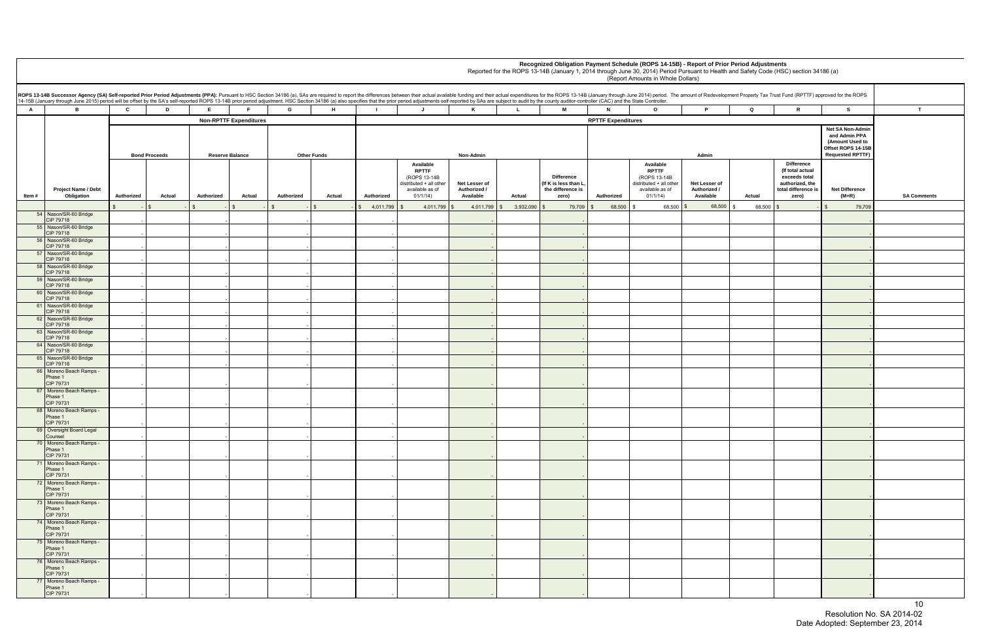|                                                   |              | t of Redevelopment Property Tax Trust Fund (RPTTF) approved for the ROPS                           |                                                                                                       |                    |
|---------------------------------------------------|--------------|----------------------------------------------------------------------------------------------------|-------------------------------------------------------------------------------------------------------|--------------------|
| P                                                 | Q            | R                                                                                                  | s                                                                                                     | т                  |
|                                                   |              |                                                                                                    | Net SA Non-Admin<br>and Admin PPA<br>(Amount Used to<br>Offset ROPS 14-15B<br><b>Requested RPTTF)</b> |                    |
| Admin<br>et Lesser of<br>uthorized /<br>Available | Actual       | Difference<br>(If total actual<br>exceeds total<br>authorized, the<br>total difference is<br>zero) | <b>Net Difference</b><br>$(M+R)$                                                                      | <b>SA Comments</b> |
| 68,500                                            | \$<br>68,500 | \$<br>$\overline{\phantom{m}}$                                                                     | \$<br>79,709                                                                                          |                    |
|                                                   |              |                                                                                                    | ÷                                                                                                     |                    |
|                                                   |              |                                                                                                    | ٠                                                                                                     |                    |
|                                                   |              |                                                                                                    | -                                                                                                     |                    |
|                                                   |              |                                                                                                    | $\overline{\phantom{a}}$                                                                              |                    |
|                                                   |              |                                                                                                    | $\overline{a}$                                                                                        |                    |
|                                                   |              |                                                                                                    | $\overline{a}$                                                                                        |                    |
|                                                   |              |                                                                                                    | -                                                                                                     |                    |
|                                                   |              |                                                                                                    | $\overline{a}$                                                                                        |                    |
|                                                   |              |                                                                                                    | ÷                                                                                                     |                    |
|                                                   |              |                                                                                                    | $\overline{a}$<br>÷                                                                                   |                    |
|                                                   |              |                                                                                                    | -                                                                                                     |                    |
|                                                   |              |                                                                                                    | $\overline{a}$                                                                                        |                    |
|                                                   |              |                                                                                                    | $\overline{\phantom{a}}$                                                                              |                    |
|                                                   |              |                                                                                                    |                                                                                                       |                    |
|                                                   |              |                                                                                                    | -                                                                                                     |                    |
|                                                   |              |                                                                                                    |                                                                                                       |                    |
|                                                   |              |                                                                                                    |                                                                                                       |                    |
|                                                   |              |                                                                                                    |                                                                                                       |                    |
|                                                   |              |                                                                                                    |                                                                                                       |                    |
|                                                   |              |                                                                                                    | -                                                                                                     |                    |
|                                                   |              |                                                                                                    | $\overline{a}$                                                                                        |                    |
|                                                   |              |                                                                                                    |                                                                                                       |                    |
|                                                   |              |                                                                                                    |                                                                                                       |                    |

|        |                                                                                                                                                                                                                                                                                                                                                                                                                                                                                                                                                                                                                                                                |                      |                        |        |                      |                |                                                                                                     |                                            |                 |                                                                         |                           | Recognized Obligation Payment Schedule (ROPS 14-15B) - Report of Prior Period Adjustments<br>Reported for the ROPS 13-14B (January 1, 2014 through June 30, 2014) Period Pursuant to Health and Safety Code (HSC) section 34186 (a)<br>(Report Amounts in Whole Dollars) |                                            |        |                                                                                                           |                                                                                                       |               |
|--------|----------------------------------------------------------------------------------------------------------------------------------------------------------------------------------------------------------------------------------------------------------------------------------------------------------------------------------------------------------------------------------------------------------------------------------------------------------------------------------------------------------------------------------------------------------------------------------------------------------------------------------------------------------------|----------------------|------------------------|--------|----------------------|----------------|-----------------------------------------------------------------------------------------------------|--------------------------------------------|-----------------|-------------------------------------------------------------------------|---------------------------|--------------------------------------------------------------------------------------------------------------------------------------------------------------------------------------------------------------------------------------------------------------------------|--------------------------------------------|--------|-----------------------------------------------------------------------------------------------------------|-------------------------------------------------------------------------------------------------------|---------------|
|        | ROPS 13-14B Successor Agency (SA) Self-reported Prior Period Adjustments (PPA): Pursuant to HSC Section 34186 (a), SAs are required to report the differences between their actual available funding and their actual expendit<br>14-15B (January through June 2015) period will be offset by the SA's self-reported ROPS 13-14B prior period adjustment. HSC Section 34186 (a) also specifies that the prior period adjustments self-reported by SAs are subjec<br>$\mathbf{c}$<br><b>M</b><br>B<br>D<br>E.<br>F.<br>G<br>H<br>J.<br>K<br>$\mathbf{L}$<br>$\circ$<br>$\mathbf{T}$<br>$\mathbf{N}$<br>P<br>Q<br>R<br><b>S</b><br><b>Non-RPTTF Expenditures</b> |                      |                        |        |                      |                |                                                                                                     |                                            |                 |                                                                         |                           |                                                                                                                                                                                                                                                                          |                                            |        |                                                                                                           |                                                                                                       |               |
| A      |                                                                                                                                                                                                                                                                                                                                                                                                                                                                                                                                                                                                                                                                |                      |                        |        |                      |                |                                                                                                     |                                            |                 |                                                                         |                           |                                                                                                                                                                                                                                                                          |                                            |        |                                                                                                           |                                                                                                       |               |
|        |                                                                                                                                                                                                                                                                                                                                                                                                                                                                                                                                                                                                                                                                |                      |                        |        |                      |                |                                                                                                     |                                            |                 |                                                                         | <b>RPTTF Expenditures</b> |                                                                                                                                                                                                                                                                          |                                            |        |                                                                                                           |                                                                                                       |               |
|        |                                                                                                                                                                                                                                                                                                                                                                                                                                                                                                                                                                                                                                                                | <b>Bond Proceeds</b> | <b>Reserve Balance</b> |        | <b>Other Funds</b>   |                |                                                                                                     | Non-Admin                                  |                 |                                                                         |                           |                                                                                                                                                                                                                                                                          | Admin                                      |        |                                                                                                           | Net SA Non-Admin<br>and Admin PPA<br>(Amount Used to<br>Offset ROPS 14-15B<br><b>Requested RPTTF)</b> |               |
| ltem # | Project Name / Debt<br>Obligation                                                                                                                                                                                                                                                                                                                                                                                                                                                                                                                                                                                                                              | Authorized<br>Actual | Authorized             | Actual | Authorized<br>Actual | Authorized     | Available<br><b>RPTTF</b><br>(ROPS 13-14B<br>distributed + all other<br>available as of<br>01/1/14) | Net Lesser of<br>Authorized /<br>Available | Actual          | <b>Difference</b><br>(If K is less than L<br>the difference is<br>zero) | Authorized                | Available<br><b>RPTTF</b><br>(ROPS 13-14B<br>distributed + all other<br>available as of<br>01/1/14)                                                                                                                                                                      | Net Lesser of<br>Authorized /<br>Available | Actual | <b>Difference</b><br>(If total actual<br>exceeds total<br>authorized, the<br>total difference is<br>zero) | <b>Net Difference</b><br>$(M+R)$                                                                      | <b>SA Com</b> |
|        |                                                                                                                                                                                                                                                                                                                                                                                                                                                                                                                                                                                                                                                                |                      |                        |        |                      | $4,011,799$ \$ | 4,011,799                                                                                           | 4,011,799                                  | 3,932,090<br>S. | 79,709                                                                  | 68,500                    | 68,500                                                                                                                                                                                                                                                                   | 68,500 \$                                  | 68,500 |                                                                                                           | 79,709                                                                                                |               |
|        | 54 Nason/SR-60 Bridge<br><b>CIP 79718</b>                                                                                                                                                                                                                                                                                                                                                                                                                                                                                                                                                                                                                      |                      |                        |        |                      |                |                                                                                                     |                                            |                 |                                                                         |                           |                                                                                                                                                                                                                                                                          |                                            |        |                                                                                                           |                                                                                                       |               |
|        | 55 Nason/SR-60 Bridge                                                                                                                                                                                                                                                                                                                                                                                                                                                                                                                                                                                                                                          |                      |                        |        |                      |                |                                                                                                     |                                            |                 |                                                                         |                           |                                                                                                                                                                                                                                                                          |                                            |        |                                                                                                           |                                                                                                       |               |
|        | <b>CIP 79718</b><br>56 Nason/SR-60 Bridge                                                                                                                                                                                                                                                                                                                                                                                                                                                                                                                                                                                                                      |                      |                        |        |                      |                |                                                                                                     |                                            |                 |                                                                         |                           |                                                                                                                                                                                                                                                                          |                                            |        |                                                                                                           |                                                                                                       |               |
|        | CIP 79718<br>57 Nason/SR-60 Bridge                                                                                                                                                                                                                                                                                                                                                                                                                                                                                                                                                                                                                             |                      |                        |        |                      |                |                                                                                                     |                                            |                 |                                                                         |                           |                                                                                                                                                                                                                                                                          |                                            |        |                                                                                                           |                                                                                                       |               |
|        | CIP 79718                                                                                                                                                                                                                                                                                                                                                                                                                                                                                                                                                                                                                                                      |                      |                        |        |                      |                |                                                                                                     |                                            |                 |                                                                         |                           |                                                                                                                                                                                                                                                                          |                                            |        |                                                                                                           |                                                                                                       |               |
|        | 58 Nason/SR-60 Bridge<br><b>CIP 79718</b>                                                                                                                                                                                                                                                                                                                                                                                                                                                                                                                                                                                                                      |                      |                        |        |                      |                |                                                                                                     |                                            |                 |                                                                         |                           |                                                                                                                                                                                                                                                                          |                                            |        |                                                                                                           |                                                                                                       |               |
|        | 59 Nason/SR-60 Bridge<br>CIP 79718                                                                                                                                                                                                                                                                                                                                                                                                                                                                                                                                                                                                                             |                      |                        |        |                      |                |                                                                                                     |                                            |                 |                                                                         |                           |                                                                                                                                                                                                                                                                          |                                            |        |                                                                                                           |                                                                                                       |               |
|        | 60 Nason/SR-60 Bridge                                                                                                                                                                                                                                                                                                                                                                                                                                                                                                                                                                                                                                          |                      |                        |        |                      |                |                                                                                                     |                                            |                 |                                                                         |                           |                                                                                                                                                                                                                                                                          |                                            |        |                                                                                                           |                                                                                                       |               |
|        | CIP 79718<br>61 Nason/SR-60 Bridge                                                                                                                                                                                                                                                                                                                                                                                                                                                                                                                                                                                                                             |                      |                        |        |                      |                |                                                                                                     |                                            |                 |                                                                         |                           |                                                                                                                                                                                                                                                                          |                                            |        |                                                                                                           |                                                                                                       |               |
|        | <b>CIP 79718</b><br>62 Nason/SR-60 Bridge                                                                                                                                                                                                                                                                                                                                                                                                                                                                                                                                                                                                                      |                      |                        |        |                      |                |                                                                                                     |                                            |                 |                                                                         |                           |                                                                                                                                                                                                                                                                          |                                            |        |                                                                                                           |                                                                                                       |               |
|        | CIP 79718                                                                                                                                                                                                                                                                                                                                                                                                                                                                                                                                                                                                                                                      |                      |                        |        |                      |                |                                                                                                     |                                            |                 |                                                                         |                           |                                                                                                                                                                                                                                                                          |                                            |        |                                                                                                           |                                                                                                       |               |
|        | 63 Nason/SR-60 Bridge<br><b>CIP 79718</b>                                                                                                                                                                                                                                                                                                                                                                                                                                                                                                                                                                                                                      |                      |                        |        |                      |                |                                                                                                     |                                            |                 |                                                                         |                           |                                                                                                                                                                                                                                                                          |                                            |        |                                                                                                           |                                                                                                       |               |
|        | 64 Nason/SR-60 Bridge<br><b>CIP 79718</b>                                                                                                                                                                                                                                                                                                                                                                                                                                                                                                                                                                                                                      |                      |                        |        |                      |                |                                                                                                     |                                            |                 |                                                                         |                           |                                                                                                                                                                                                                                                                          |                                            |        |                                                                                                           |                                                                                                       |               |
|        | 65 Nason/SR-60 Bridge                                                                                                                                                                                                                                                                                                                                                                                                                                                                                                                                                                                                                                          |                      |                        |        |                      |                |                                                                                                     |                                            |                 |                                                                         |                           |                                                                                                                                                                                                                                                                          |                                            |        |                                                                                                           |                                                                                                       |               |
|        | CIP 79718<br>66 Moreno Beach Ramps -                                                                                                                                                                                                                                                                                                                                                                                                                                                                                                                                                                                                                           |                      |                        |        |                      |                |                                                                                                     |                                            |                 |                                                                         |                           |                                                                                                                                                                                                                                                                          |                                            |        |                                                                                                           |                                                                                                       |               |
|        | Phase 1<br>CIP 79731                                                                                                                                                                                                                                                                                                                                                                                                                                                                                                                                                                                                                                           |                      |                        |        |                      |                |                                                                                                     |                                            |                 |                                                                         |                           |                                                                                                                                                                                                                                                                          |                                            |        |                                                                                                           |                                                                                                       |               |
|        | 67   Moreno Beach Ramps -                                                                                                                                                                                                                                                                                                                                                                                                                                                                                                                                                                                                                                      |                      |                        |        |                      |                |                                                                                                     |                                            |                 |                                                                         |                           |                                                                                                                                                                                                                                                                          |                                            |        |                                                                                                           |                                                                                                       |               |
|        | Phase 1<br>CIP 79731                                                                                                                                                                                                                                                                                                                                                                                                                                                                                                                                                                                                                                           |                      |                        |        |                      |                |                                                                                                     |                                            |                 |                                                                         |                           |                                                                                                                                                                                                                                                                          |                                            |        |                                                                                                           |                                                                                                       |               |
|        | 68 Moreno Beach Ramps -<br>Phase 1                                                                                                                                                                                                                                                                                                                                                                                                                                                                                                                                                                                                                             |                      |                        |        |                      |                |                                                                                                     |                                            |                 |                                                                         |                           |                                                                                                                                                                                                                                                                          |                                            |        |                                                                                                           |                                                                                                       |               |
|        | CIP 79731                                                                                                                                                                                                                                                                                                                                                                                                                                                                                                                                                                                                                                                      |                      |                        |        |                      |                |                                                                                                     |                                            |                 |                                                                         |                           |                                                                                                                                                                                                                                                                          |                                            |        |                                                                                                           |                                                                                                       |               |
|        | 69 Oversight Board Legal<br>Counsel                                                                                                                                                                                                                                                                                                                                                                                                                                                                                                                                                                                                                            |                      |                        |        |                      |                |                                                                                                     |                                            |                 |                                                                         |                           |                                                                                                                                                                                                                                                                          |                                            |        |                                                                                                           |                                                                                                       |               |
|        | 70 Moreno Beach Ramps -<br>Phase 1                                                                                                                                                                                                                                                                                                                                                                                                                                                                                                                                                                                                                             |                      |                        |        |                      |                |                                                                                                     |                                            |                 |                                                                         |                           |                                                                                                                                                                                                                                                                          |                                            |        |                                                                                                           |                                                                                                       |               |
|        | CIP 79731                                                                                                                                                                                                                                                                                                                                                                                                                                                                                                                                                                                                                                                      |                      |                        |        |                      |                |                                                                                                     |                                            |                 |                                                                         |                           |                                                                                                                                                                                                                                                                          |                                            |        |                                                                                                           |                                                                                                       |               |
|        | 71 Moreno Beach Ramps -<br>Phase 1                                                                                                                                                                                                                                                                                                                                                                                                                                                                                                                                                                                                                             |                      |                        |        |                      |                |                                                                                                     |                                            |                 |                                                                         |                           |                                                                                                                                                                                                                                                                          |                                            |        |                                                                                                           |                                                                                                       |               |
|        | CIP 79731                                                                                                                                                                                                                                                                                                                                                                                                                                                                                                                                                                                                                                                      |                      |                        |        |                      |                |                                                                                                     |                                            |                 |                                                                         |                           |                                                                                                                                                                                                                                                                          |                                            |        |                                                                                                           |                                                                                                       |               |
|        | 72 Moreno Beach Ramps -<br>Phase 1                                                                                                                                                                                                                                                                                                                                                                                                                                                                                                                                                                                                                             |                      |                        |        |                      |                |                                                                                                     |                                            |                 |                                                                         |                           |                                                                                                                                                                                                                                                                          |                                            |        |                                                                                                           |                                                                                                       |               |
|        | CIP 79731<br>73 Moreno Beach Ramps -                                                                                                                                                                                                                                                                                                                                                                                                                                                                                                                                                                                                                           |                      |                        |        |                      |                |                                                                                                     |                                            |                 |                                                                         |                           |                                                                                                                                                                                                                                                                          |                                            |        |                                                                                                           |                                                                                                       |               |
|        | Phase 1<br>CIP 79731                                                                                                                                                                                                                                                                                                                                                                                                                                                                                                                                                                                                                                           |                      |                        |        |                      |                |                                                                                                     |                                            |                 |                                                                         |                           |                                                                                                                                                                                                                                                                          |                                            |        |                                                                                                           |                                                                                                       |               |
|        | 74 Moreno Beach Ramps -                                                                                                                                                                                                                                                                                                                                                                                                                                                                                                                                                                                                                                        |                      |                        |        |                      |                |                                                                                                     |                                            |                 |                                                                         |                           |                                                                                                                                                                                                                                                                          |                                            |        |                                                                                                           |                                                                                                       |               |
|        | Phase 1<br>CIP 79731                                                                                                                                                                                                                                                                                                                                                                                                                                                                                                                                                                                                                                           |                      |                        |        |                      |                |                                                                                                     |                                            |                 |                                                                         |                           |                                                                                                                                                                                                                                                                          |                                            |        |                                                                                                           |                                                                                                       |               |
|        | 75 Moreno Beach Ramps -                                                                                                                                                                                                                                                                                                                                                                                                                                                                                                                                                                                                                                        |                      |                        |        |                      |                |                                                                                                     |                                            |                 |                                                                         |                           |                                                                                                                                                                                                                                                                          |                                            |        |                                                                                                           |                                                                                                       |               |
|        | Phase 1<br>CIP 79731                                                                                                                                                                                                                                                                                                                                                                                                                                                                                                                                                                                                                                           |                      |                        |        |                      |                |                                                                                                     |                                            |                 |                                                                         |                           |                                                                                                                                                                                                                                                                          |                                            |        |                                                                                                           |                                                                                                       |               |
|        | 76 Moreno Beach Ramps -<br>Phase 1<br>CIP 79731                                                                                                                                                                                                                                                                                                                                                                                                                                                                                                                                                                                                                |                      |                        |        |                      |                |                                                                                                     |                                            |                 |                                                                         |                           |                                                                                                                                                                                                                                                                          |                                            |        |                                                                                                           |                                                                                                       |               |
|        | 77 Moreno Beach Ramps -                                                                                                                                                                                                                                                                                                                                                                                                                                                                                                                                                                                                                                        |                      |                        |        |                      |                |                                                                                                     |                                            |                 |                                                                         |                           |                                                                                                                                                                                                                                                                          |                                            |        |                                                                                                           |                                                                                                       |               |
|        | Phase 1<br>CIP 79731                                                                                                                                                                                                                                                                                                                                                                                                                                                                                                                                                                                                                                           |                      |                        |        |                      |                |                                                                                                     |                                            |                 |                                                                         |                           |                                                                                                                                                                                                                                                                          |                                            |        |                                                                                                           |                                                                                                       |               |

 $10$  Resolution No. SA 2014-02 Date Adopted: September 23, 2014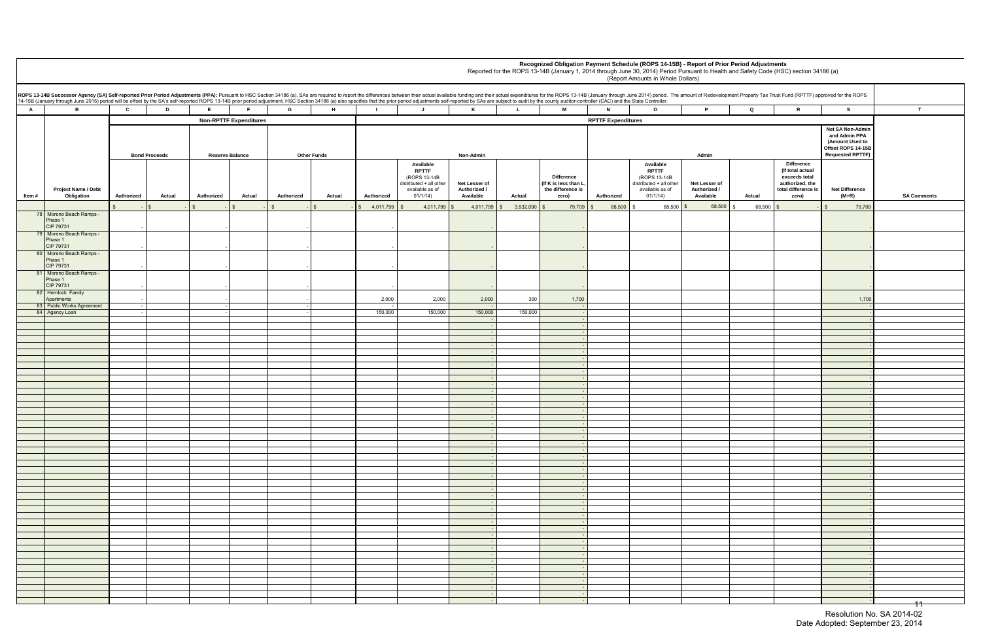|        |                                                                                                                                                                                                                                                                                                                                                                                                                                                                  |              |                      |            |                               |                    |        |            |                                                                                                     |                                            |              |                                                                         |                           | Recognized Obligation Payment Schedule (ROPS 14-15B) - Report of Prior Period Adjustments<br>Reported for the ROPS 13-14B (January 1, 2014 through June 30, 2014) Period Pursuant to Health and Safety Code (HSC) section 34186 (a)<br>(Report Amounts in Whole Dollars) |                                            |             |                                                                                                    |                                                                                                       |               |
|--------|------------------------------------------------------------------------------------------------------------------------------------------------------------------------------------------------------------------------------------------------------------------------------------------------------------------------------------------------------------------------------------------------------------------------------------------------------------------|--------------|----------------------|------------|-------------------------------|--------------------|--------|------------|-----------------------------------------------------------------------------------------------------|--------------------------------------------|--------------|-------------------------------------------------------------------------|---------------------------|--------------------------------------------------------------------------------------------------------------------------------------------------------------------------------------------------------------------------------------------------------------------------|--------------------------------------------|-------------|----------------------------------------------------------------------------------------------------|-------------------------------------------------------------------------------------------------------|---------------|
|        | ROPS 13-14B Successor Agency (SA) Self-reported Prior Period Adjustments (PPA): Pursuant to HSC Section 34186 (a), SAs are required to report the differences between their actual available funding and their actual expendit<br>14-15B (January through June 2015) period will be offset by the SA's self-reported ROPS 13-14B prior period adjustment. HSC Section 34186 (a) also specifies that the prior period adjustments self-reported by SAs are subjec |              |                      |            |                               |                    |        |            |                                                                                                     |                                            |              |                                                                         |                           |                                                                                                                                                                                                                                                                          |                                            |             |                                                                                                    |                                                                                                       |               |
| A      | B.                                                                                                                                                                                                                                                                                                                                                                                                                                                               | $\mathbf{c}$ | D                    |            |                               | G                  | H      |            | $\mathbf{J}$                                                                                        | K                                          | $\mathbf{L}$ | <b>M</b>                                                                | N                         | $\circ$                                                                                                                                                                                                                                                                  | D                                          | $\mathbf Q$ | $\mathbb{R}$                                                                                       | s                                                                                                     |               |
|        |                                                                                                                                                                                                                                                                                                                                                                                                                                                                  |              |                      |            | <b>Non-RPTTF Expenditures</b> |                    |        |            |                                                                                                     |                                            |              |                                                                         | <b>RPTTF Expenditures</b> |                                                                                                                                                                                                                                                                          |                                            |             |                                                                                                    |                                                                                                       |               |
|        |                                                                                                                                                                                                                                                                                                                                                                                                                                                                  |              | <b>Bond Proceeds</b> |            | <b>Reserve Balance</b>        | <b>Other Funds</b> |        |            |                                                                                                     | Non-Admin                                  |              |                                                                         |                           |                                                                                                                                                                                                                                                                          | Admin                                      |             |                                                                                                    | Net SA Non-Admin<br>and Admin PPA<br>(Amount Used to<br>Offset ROPS 14-15B<br><b>Requested RPTTF)</b> |               |
| ltem # | <b>Project Name / Debt</b><br>Obligation                                                                                                                                                                                                                                                                                                                                                                                                                         | Authorized   | Actual               | Authorized | Actual                        | Authorized         | Actual | Authorized | Available<br><b>RPTTF</b><br>(ROPS 13-14B<br>distributed + all other<br>available as of<br>01/1/14) | Net Lesser of<br>Authorized /<br>Available | Actual       | <b>Difference</b><br>(If K is less than I<br>the difference is<br>zero) | Authorized                | Available<br><b>RPTTF</b><br>(ROPS 13-14B)<br>distributed + all other<br>available as of<br>01/1/14)                                                                                                                                                                     | Net Lesser of<br>Authorized /<br>Available | Actual      | Difference<br>(If total actual<br>exceeds total<br>authorized, the<br>total difference is<br>zero) | <b>Net Difference</b><br>(M+R)                                                                        | <b>SA Com</b> |
|        |                                                                                                                                                                                                                                                                                                                                                                                                                                                                  |              |                      |            |                               |                    |        | 4,011,799  | 4,011,799                                                                                           | 4,011,799                                  | 3,932,090    | 79,709                                                                  | 68,500                    | 68,500                                                                                                                                                                                                                                                                   | 68,500                                     | 68,500      |                                                                                                    | 79,709                                                                                                |               |
|        | 78 Moreno Beach Ramps -<br>Phase 1<br>CIP 79731<br>79 Moreno Beach Ramps -<br>Phase 1                                                                                                                                                                                                                                                                                                                                                                            |              |                      |            |                               |                    |        |            |                                                                                                     |                                            |              |                                                                         |                           |                                                                                                                                                                                                                                                                          |                                            |             |                                                                                                    |                                                                                                       |               |
|        | CIP 79731<br>80 Moreno Beach Ramps -<br>Phase 1                                                                                                                                                                                                                                                                                                                                                                                                                  |              |                      |            |                               |                    |        |            |                                                                                                     |                                            |              |                                                                         |                           |                                                                                                                                                                                                                                                                          |                                            |             |                                                                                                    |                                                                                                       |               |
|        | CIP 79731<br>81 Moreno Beach Ramps -<br>Phase 1                                                                                                                                                                                                                                                                                                                                                                                                                  |              |                      |            |                               |                    |        |            |                                                                                                     |                                            |              |                                                                         |                           |                                                                                                                                                                                                                                                                          |                                            |             |                                                                                                    |                                                                                                       |               |
|        | CIP 79731<br>82 Hemlock Family<br>Apartments                                                                                                                                                                                                                                                                                                                                                                                                                     |              |                      |            |                               |                    |        | 2,000      | 2,000                                                                                               | 2,000                                      | 300          | 1,700                                                                   |                           |                                                                                                                                                                                                                                                                          |                                            |             |                                                                                                    | 1,700                                                                                                 |               |
|        | 83 Public Works Agreement                                                                                                                                                                                                                                                                                                                                                                                                                                        | $-1$         |                      |            |                               |                    |        |            |                                                                                                     |                                            |              |                                                                         |                           |                                                                                                                                                                                                                                                                          |                                            |             |                                                                                                    |                                                                                                       |               |
|        | 84 Agency Loan                                                                                                                                                                                                                                                                                                                                                                                                                                                   |              |                      |            |                               |                    |        | 150,000    | 150,000                                                                                             | 150,000                                    | 150,000      |                                                                         |                           |                                                                                                                                                                                                                                                                          |                                            |             |                                                                                                    |                                                                                                       |               |
|        |                                                                                                                                                                                                                                                                                                                                                                                                                                                                  |              |                      |            |                               |                    |        |            |                                                                                                     |                                            |              |                                                                         |                           |                                                                                                                                                                                                                                                                          |                                            |             |                                                                                                    |                                                                                                       |               |
|        |                                                                                                                                                                                                                                                                                                                                                                                                                                                                  |              |                      |            |                               |                    |        |            |                                                                                                     |                                            |              |                                                                         |                           |                                                                                                                                                                                                                                                                          |                                            |             |                                                                                                    |                                                                                                       |               |
|        |                                                                                                                                                                                                                                                                                                                                                                                                                                                                  |              |                      |            |                               |                    |        |            |                                                                                                     |                                            |              |                                                                         |                           |                                                                                                                                                                                                                                                                          |                                            |             |                                                                                                    |                                                                                                       |               |
|        |                                                                                                                                                                                                                                                                                                                                                                                                                                                                  |              |                      |            |                               |                    |        |            |                                                                                                     |                                            |              |                                                                         |                           |                                                                                                                                                                                                                                                                          |                                            |             |                                                                                                    |                                                                                                       |               |
|        |                                                                                                                                                                                                                                                                                                                                                                                                                                                                  |              |                      |            |                               |                    |        |            |                                                                                                     |                                            |              |                                                                         |                           |                                                                                                                                                                                                                                                                          |                                            |             |                                                                                                    |                                                                                                       |               |
|        |                                                                                                                                                                                                                                                                                                                                                                                                                                                                  |              |                      |            |                               |                    |        |            |                                                                                                     |                                            |              |                                                                         |                           |                                                                                                                                                                                                                                                                          |                                            |             |                                                                                                    |                                                                                                       |               |
|        |                                                                                                                                                                                                                                                                                                                                                                                                                                                                  |              |                      |            |                               |                    |        |            |                                                                                                     |                                            |              |                                                                         |                           |                                                                                                                                                                                                                                                                          |                                            |             |                                                                                                    |                                                                                                       |               |
|        |                                                                                                                                                                                                                                                                                                                                                                                                                                                                  |              |                      |            |                               |                    |        |            |                                                                                                     |                                            |              |                                                                         |                           |                                                                                                                                                                                                                                                                          |                                            |             |                                                                                                    |                                                                                                       |               |
|        |                                                                                                                                                                                                                                                                                                                                                                                                                                                                  |              |                      |            |                               |                    |        |            |                                                                                                     |                                            |              |                                                                         |                           |                                                                                                                                                                                                                                                                          |                                            |             |                                                                                                    |                                                                                                       |               |
|        |                                                                                                                                                                                                                                                                                                                                                                                                                                                                  |              |                      |            |                               |                    |        |            |                                                                                                     |                                            |              |                                                                         |                           |                                                                                                                                                                                                                                                                          |                                            |             |                                                                                                    |                                                                                                       |               |
|        |                                                                                                                                                                                                                                                                                                                                                                                                                                                                  |              |                      |            |                               |                    |        |            |                                                                                                     |                                            |              |                                                                         |                           |                                                                                                                                                                                                                                                                          |                                            |             |                                                                                                    |                                                                                                       |               |
|        |                                                                                                                                                                                                                                                                                                                                                                                                                                                                  |              |                      |            |                               |                    |        |            |                                                                                                     |                                            |              |                                                                         |                           |                                                                                                                                                                                                                                                                          |                                            |             |                                                                                                    |                                                                                                       |               |
|        |                                                                                                                                                                                                                                                                                                                                                                                                                                                                  |              |                      |            |                               |                    |        |            |                                                                                                     |                                            |              |                                                                         |                           |                                                                                                                                                                                                                                                                          |                                            |             |                                                                                                    |                                                                                                       |               |
|        |                                                                                                                                                                                                                                                                                                                                                                                                                                                                  |              |                      |            |                               |                    |        |            |                                                                                                     |                                            |              |                                                                         |                           |                                                                                                                                                                                                                                                                          |                                            |             |                                                                                                    |                                                                                                       |               |
|        |                                                                                                                                                                                                                                                                                                                                                                                                                                                                  |              |                      |            |                               |                    |        |            |                                                                                                     |                                            |              |                                                                         |                           |                                                                                                                                                                                                                                                                          |                                            |             |                                                                                                    |                                                                                                       |               |
|        |                                                                                                                                                                                                                                                                                                                                                                                                                                                                  |              |                      |            |                               |                    |        |            |                                                                                                     |                                            |              |                                                                         |                           |                                                                                                                                                                                                                                                                          |                                            |             |                                                                                                    |                                                                                                       |               |
|        |                                                                                                                                                                                                                                                                                                                                                                                                                                                                  |              |                      |            |                               |                    |        |            |                                                                                                     |                                            |              |                                                                         |                           |                                                                                                                                                                                                                                                                          |                                            |             |                                                                                                    |                                                                                                       |               |
|        |                                                                                                                                                                                                                                                                                                                                                                                                                                                                  |              |                      |            |                               |                    |        |            |                                                                                                     |                                            |              |                                                                         |                           |                                                                                                                                                                                                                                                                          |                                            |             |                                                                                                    |                                                                                                       |               |
|        |                                                                                                                                                                                                                                                                                                                                                                                                                                                                  |              |                      |            |                               |                    |        |            |                                                                                                     |                                            |              |                                                                         |                           |                                                                                                                                                                                                                                                                          |                                            |             |                                                                                                    |                                                                                                       |               |
|        |                                                                                                                                                                                                                                                                                                                                                                                                                                                                  |              |                      |            |                               |                    |        |            |                                                                                                     |                                            |              |                                                                         |                           |                                                                                                                                                                                                                                                                          |                                            |             |                                                                                                    |                                                                                                       |               |
|        |                                                                                                                                                                                                                                                                                                                                                                                                                                                                  |              |                      |            |                               |                    |        |            |                                                                                                     |                                            |              |                                                                         |                           |                                                                                                                                                                                                                                                                          |                                            |             |                                                                                                    |                                                                                                       |               |
|        |                                                                                                                                                                                                                                                                                                                                                                                                                                                                  |              |                      |            |                               |                    |        |            |                                                                                                     |                                            |              |                                                                         |                           |                                                                                                                                                                                                                                                                          |                                            |             |                                                                                                    |                                                                                                       |               |
|        |                                                                                                                                                                                                                                                                                                                                                                                                                                                                  |              |                      |            |                               |                    |        |            |                                                                                                     |                                            |              |                                                                         |                           |                                                                                                                                                                                                                                                                          |                                            |             |                                                                                                    |                                                                                                       |               |
|        |                                                                                                                                                                                                                                                                                                                                                                                                                                                                  |              |                      |            |                               |                    |        |            |                                                                                                     |                                            |              |                                                                         |                           |                                                                                                                                                                                                                                                                          |                                            |             |                                                                                                    |                                                                                                       |               |
|        |                                                                                                                                                                                                                                                                                                                                                                                                                                                                  |              |                      |            |                               |                    |        |            |                                                                                                     |                                            |              |                                                                         |                           |                                                                                                                                                                                                                                                                          |                                            |             |                                                                                                    |                                                                                                       |               |
|        |                                                                                                                                                                                                                                                                                                                                                                                                                                                                  |              |                      |            |                               |                    |        |            |                                                                                                     |                                            |              |                                                                         |                           |                                                                                                                                                                                                                                                                          |                                            |             |                                                                                                    |                                                                                                       |               |
|        |                                                                                                                                                                                                                                                                                                                                                                                                                                                                  |              |                      |            |                               |                    |        |            |                                                                                                     |                                            |              |                                                                         |                           |                                                                                                                                                                                                                                                                          |                                            |             |                                                                                                    |                                                                                                       |               |
|        |                                                                                                                                                                                                                                                                                                                                                                                                                                                                  |              |                      |            |                               |                    |        |            |                                                                                                     |                                            |              |                                                                         |                           |                                                                                                                                                                                                                                                                          |                                            |             |                                                                                                    |                                                                                                       |               |
|        |                                                                                                                                                                                                                                                                                                                                                                                                                                                                  |              |                      |            |                               |                    |        |            |                                                                                                     |                                            |              |                                                                         |                           |                                                                                                                                                                                                                                                                          |                                            |             |                                                                                                    |                                                                                                       |               |
|        |                                                                                                                                                                                                                                                                                                                                                                                                                                                                  |              |                      |            |                               |                    |        |            |                                                                                                     |                                            |              |                                                                         |                           |                                                                                                                                                                                                                                                                          |                                            |             |                                                                                                    |                                                                                                       |               |

| ble funding and their actual expenditures for the ROPS 13-14B (January through June 2014) period. The amount of Redevelopment Property Tax Trust Fund (RPTTF) approved for the ROPS<br>reported by SAs are subject to audit by the county auditor-controller (CAC) and the State Controller.<br>P<br>Κ<br>M<br>$\mathsf{o}$<br>$\mathbf Q$<br>${\sf R}$<br>s<br>L.<br>N |                            |                                                                          |                           |                                                                                                     |                                            |                                        |                                                                                                    |                                                                                                       |                    |  |
|-------------------------------------------------------------------------------------------------------------------------------------------------------------------------------------------------------------------------------------------------------------------------------------------------------------------------------------------------------------------------|----------------------------|--------------------------------------------------------------------------|---------------------------|-----------------------------------------------------------------------------------------------------|--------------------------------------------|----------------------------------------|----------------------------------------------------------------------------------------------------|-------------------------------------------------------------------------------------------------------|--------------------|--|
|                                                                                                                                                                                                                                                                                                                                                                         |                            |                                                                          |                           |                                                                                                     |                                            |                                        |                                                                                                    |                                                                                                       | $\mathbf T$        |  |
| Non-Admin                                                                                                                                                                                                                                                                                                                                                               |                            |                                                                          | <b>RPTTF Expenditures</b> |                                                                                                     | Admin                                      |                                        |                                                                                                    | Net SA Non-Admin<br>and Admin PPA<br>(Amount Used to<br>Offset ROPS 14-15B<br><b>Requested RPTTF)</b> |                    |  |
| Net Lesser of<br>Authorized /<br>Available                                                                                                                                                                                                                                                                                                                              | Actual                     | <b>Difference</b><br>(If K is less than L,<br>the difference is<br>zero) | Authorized                | Available<br><b>RPTTF</b><br>(ROPS 13-14B<br>distributed + all other<br>available as of<br>01/1/14) | Net Lesser of<br>Authorized /<br>Available | Actual                                 | Difference<br>(If total actual<br>exceeds total<br>authorized, the<br>total difference is<br>zero) | <b>Net Difference</b><br>$(M+R)$                                                                      | <b>SA Comments</b> |  |
| 4,011,799<br>\$                                                                                                                                                                                                                                                                                                                                                         | $\sqrt[6]{3}$<br>3,932,090 | 79,709 \$<br>$\sqrt[6]{2}$                                               | 68,500                    | \$<br>68,500                                                                                        | $\mathbb{S}$<br>68,500                     | $\boldsymbol{\mathsf{s}}$<br>68,500 \$ |                                                                                                    | $\frac{1}{2}$<br>79,709                                                                               |                    |  |
|                                                                                                                                                                                                                                                                                                                                                                         |                            |                                                                          |                           |                                                                                                     |                                            |                                        |                                                                                                    |                                                                                                       |                    |  |
|                                                                                                                                                                                                                                                                                                                                                                         |                            |                                                                          |                           |                                                                                                     |                                            |                                        |                                                                                                    |                                                                                                       |                    |  |
|                                                                                                                                                                                                                                                                                                                                                                         |                            |                                                                          |                           |                                                                                                     |                                            |                                        |                                                                                                    |                                                                                                       |                    |  |
|                                                                                                                                                                                                                                                                                                                                                                         |                            |                                                                          |                           |                                                                                                     |                                            |                                        |                                                                                                    |                                                                                                       |                    |  |
| 2,000                                                                                                                                                                                                                                                                                                                                                                   | 300                        | 1,700                                                                    |                           |                                                                                                     |                                            |                                        |                                                                                                    | 1,700                                                                                                 |                    |  |
| 150,000                                                                                                                                                                                                                                                                                                                                                                 | 150,000                    | $\overline{\phantom{a}}$<br>$\overline{\phantom{a}}$                     |                           |                                                                                                     |                                            |                                        |                                                                                                    |                                                                                                       |                    |  |
| $\overline{\phantom{a}}$<br>$\blacksquare$                                                                                                                                                                                                                                                                                                                              |                            | $\overline{\phantom{a}}$<br>$\sim$                                       |                           |                                                                                                     |                                            |                                        |                                                                                                    |                                                                                                       |                    |  |
| $\overline{\phantom{a}}$                                                                                                                                                                                                                                                                                                                                                |                            | $\overline{\phantom{a}}$                                                 |                           |                                                                                                     |                                            |                                        |                                                                                                    |                                                                                                       |                    |  |
| $\overline{\phantom{a}}$<br>$\overline{\phantom{a}}$                                                                                                                                                                                                                                                                                                                    |                            | $\blacksquare$<br>$\sim$                                                 |                           |                                                                                                     |                                            |                                        |                                                                                                    |                                                                                                       |                    |  |
| $\blacksquare$                                                                                                                                                                                                                                                                                                                                                          |                            | $\sim$                                                                   |                           |                                                                                                     |                                            |                                        |                                                                                                    |                                                                                                       |                    |  |
| $\overline{\phantom{a}}$<br>$\overline{\phantom{a}}$                                                                                                                                                                                                                                                                                                                    |                            | $\overline{\phantom{a}}$<br>$\sim$                                       |                           |                                                                                                     |                                            |                                        |                                                                                                    |                                                                                                       |                    |  |
| $\omega$                                                                                                                                                                                                                                                                                                                                                                |                            | $\sim$                                                                   |                           |                                                                                                     |                                            |                                        |                                                                                                    |                                                                                                       |                    |  |
| $\overline{\phantom{a}}$<br>$\blacksquare$                                                                                                                                                                                                                                                                                                                              |                            | $\sim$<br>$\blacksquare$                                                 |                           |                                                                                                     |                                            |                                        |                                                                                                    |                                                                                                       |                    |  |
| $\overline{\phantom{a}}$                                                                                                                                                                                                                                                                                                                                                |                            | $\bar{a}$                                                                |                           |                                                                                                     |                                            |                                        |                                                                                                    |                                                                                                       |                    |  |
| $\blacksquare$<br>$\overline{\phantom{a}}$                                                                                                                                                                                                                                                                                                                              |                            | $\sim$<br>$\overline{\phantom{a}}$                                       |                           |                                                                                                     |                                            |                                        |                                                                                                    |                                                                                                       |                    |  |
| $\sim$                                                                                                                                                                                                                                                                                                                                                                  |                            | $\overline{\phantom{a}}$                                                 |                           |                                                                                                     |                                            |                                        |                                                                                                    |                                                                                                       |                    |  |
| $\blacksquare$<br>$\overline{\phantom{a}}$                                                                                                                                                                                                                                                                                                                              |                            | $\sim$<br>$\sim$                                                         |                           |                                                                                                     |                                            |                                        |                                                                                                    |                                                                                                       |                    |  |
| $\overline{\phantom{a}}$                                                                                                                                                                                                                                                                                                                                                |                            | $\overline{\phantom{a}}$                                                 |                           |                                                                                                     |                                            |                                        |                                                                                                    |                                                                                                       |                    |  |
| $\overline{\phantom{a}}$<br>$\blacksquare$                                                                                                                                                                                                                                                                                                                              |                            | $\sim$<br>$\sim$                                                         |                           |                                                                                                     |                                            |                                        |                                                                                                    |                                                                                                       |                    |  |
|                                                                                                                                                                                                                                                                                                                                                                         |                            |                                                                          |                           |                                                                                                     |                                            |                                        |                                                                                                    |                                                                                                       |                    |  |
| $\overline{\phantom{a}}$<br>$\overline{\phantom{a}}$                                                                                                                                                                                                                                                                                                                    |                            | $\sim$<br>$\sim$                                                         |                           |                                                                                                     |                                            |                                        |                                                                                                    |                                                                                                       |                    |  |
| $\sim$                                                                                                                                                                                                                                                                                                                                                                  |                            | $\sim$<br>$\sim$                                                         |                           |                                                                                                     |                                            |                                        |                                                                                                    |                                                                                                       |                    |  |
| $\overline{\phantom{a}}$<br>$\sim$                                                                                                                                                                                                                                                                                                                                      |                            | $\sim$                                                                   |                           |                                                                                                     |                                            |                                        |                                                                                                    |                                                                                                       |                    |  |
| $\overline{\phantom{a}}$<br>$\overline{\phantom{a}}$                                                                                                                                                                                                                                                                                                                    |                            | $\sim$<br>$\sim$                                                         |                           |                                                                                                     |                                            |                                        |                                                                                                    |                                                                                                       |                    |  |
| $\sim$                                                                                                                                                                                                                                                                                                                                                                  |                            | $\sim$                                                                   |                           |                                                                                                     |                                            |                                        |                                                                                                    |                                                                                                       |                    |  |
| $\overline{\phantom{a}}$<br>$\overline{\phantom{a}}$                                                                                                                                                                                                                                                                                                                    |                            | $\sim$<br>$\sim$                                                         |                           |                                                                                                     |                                            |                                        |                                                                                                    |                                                                                                       |                    |  |
| $\overline{\phantom{a}}$                                                                                                                                                                                                                                                                                                                                                |                            | $\sim$                                                                   |                           |                                                                                                     |                                            |                                        |                                                                                                    |                                                                                                       |                    |  |
| $\overline{\phantom{a}}$<br>$\overline{\phantom{a}}$                                                                                                                                                                                                                                                                                                                    |                            | $\sim$<br>$\sim$                                                         |                           |                                                                                                     |                                            |                                        |                                                                                                    |                                                                                                       |                    |  |
| $\sim$                                                                                                                                                                                                                                                                                                                                                                  |                            | $\sim$                                                                   |                           |                                                                                                     |                                            |                                        |                                                                                                    |                                                                                                       |                    |  |
| $\sim$<br>$\overline{\phantom{a}}$                                                                                                                                                                                                                                                                                                                                      |                            | $\sim$<br>$\sim$                                                         |                           |                                                                                                     |                                            |                                        |                                                                                                    |                                                                                                       |                    |  |
| $\sim$                                                                                                                                                                                                                                                                                                                                                                  |                            | $\sim$                                                                   |                           |                                                                                                     |                                            |                                        |                                                                                                    |                                                                                                       |                    |  |
| $\overline{\phantom{a}}$<br>$\sim$                                                                                                                                                                                                                                                                                                                                      |                            | $\sim$<br>$\sim$                                                         |                           |                                                                                                     |                                            |                                        |                                                                                                    |                                                                                                       |                    |  |
| $\sim$                                                                                                                                                                                                                                                                                                                                                                  |                            | $\sim$                                                                   |                           |                                                                                                     |                                            |                                        |                                                                                                    |                                                                                                       |                    |  |
| $\sim$<br>$\sim$                                                                                                                                                                                                                                                                                                                                                        |                            | $\sim$<br>$\sim$                                                         |                           |                                                                                                     |                                            |                                        |                                                                                                    |                                                                                                       |                    |  |
| $\sim$                                                                                                                                                                                                                                                                                                                                                                  |                            | $\sim$                                                                   |                           |                                                                                                     |                                            |                                        |                                                                                                    |                                                                                                       |                    |  |

 11 Resolution No. SA 2014-02 Date Adopted: September 23, 2014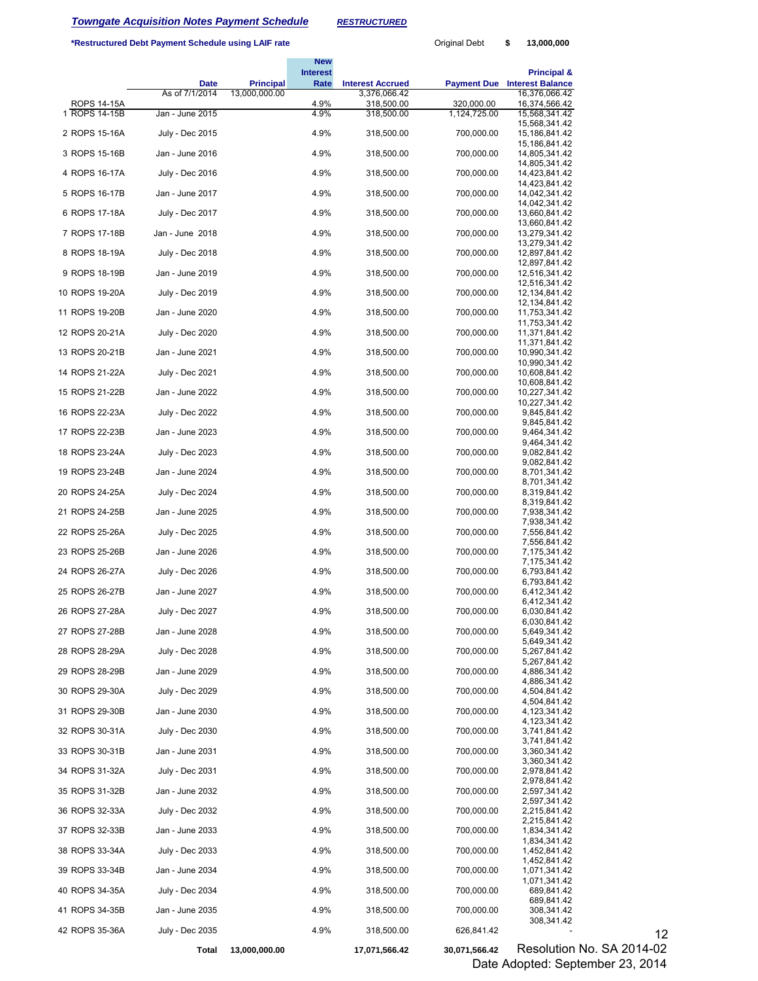# *Towngate Acquisition Notes Payment Schedule RESTRUCTURED*

**\*Restructured Debt Payment Schedule using LAIF rate** 

| Original Debt | \$<br>13,000,000 |  |
|---------------|------------------|--|
|               |                  |  |

|                |                 |                  | <b>New</b><br><b>Interest</b> |                            |               | <b>Principal &amp;</b>              |  |  |  |
|----------------|-----------------|------------------|-------------------------------|----------------------------|---------------|-------------------------------------|--|--|--|
|                | Date            | <b>Principal</b> | Rate                          | <b>Interest Accrued</b>    |               | <b>Payment Due Interest Balance</b> |  |  |  |
| ROPS 14-15A    | As of 7/1/2014  | 13,000,000.00    | 4.9%                          | 3,376,066.42<br>318,500.00 | 320,000.00    | 16,376,066.42<br>16,374,566.42      |  |  |  |
| 1 ROPS 14-15B  | Jan - June 2015 |                  | 4.9%                          | 318,500.00                 | 1,124,725.00  | 15,568,341.42<br>15,568,341.42      |  |  |  |
| 2 ROPS 15-16A  | July - Dec 2015 |                  | 4.9%                          | 318,500.00                 | 700,000.00    | 15,186,841.42                       |  |  |  |
| 3 ROPS 15-16B  | Jan - June 2016 |                  | 4.9%                          | 318,500.00                 | 700,000.00    | 15,186,841.42<br>14,805,341.42      |  |  |  |
| 4 ROPS 16-17A  | July - Dec 2016 |                  | 4.9%                          | 318,500.00                 | 700,000.00    | 14,805,341.42<br>14,423,841.42      |  |  |  |
| 5 ROPS 16-17B  | Jan - June 2017 |                  | 4.9%                          | 318,500.00                 | 700,000.00    | 14,423,841.42<br>14,042,341.42      |  |  |  |
| 6 ROPS 17-18A  | July - Dec 2017 |                  | 4.9%                          | 318,500.00                 | 700,000.00    | 14,042,341.42<br>13,660,841.42      |  |  |  |
| 7 ROPS 17-18B  | Jan - June 2018 |                  | 4.9%                          | 318,500.00                 | 700,000.00    | 13,660,841.42<br>13,279,341.42      |  |  |  |
| 8 ROPS 18-19A  | July - Dec 2018 |                  | 4.9%                          | 318,500.00                 | 700,000.00    | 13,279,341.42<br>12,897,841.42      |  |  |  |
|                |                 |                  | 4.9%                          |                            |               | 12,897,841.42                       |  |  |  |
| 9 ROPS 18-19B  | Jan - June 2019 |                  |                               | 318,500.00                 | 700,000.00    | 12,516,341.42<br>12,516,341.42      |  |  |  |
| 10 ROPS 19-20A | July - Dec 2019 |                  | 4.9%                          | 318,500.00                 | 700,000.00    | 12, 134, 841. 42<br>12,134,841.42   |  |  |  |
| 11 ROPS 19-20B | Jan - June 2020 |                  | 4.9%                          | 318,500.00                 | 700,000.00    | 11,753,341.42<br>11,753,341.42      |  |  |  |
| 12 ROPS 20-21A | July - Dec 2020 |                  | 4.9%                          | 318,500.00                 | 700,000.00    | 11,371,841.42<br>11,371,841.42      |  |  |  |
| 13 ROPS 20-21B | Jan - June 2021 |                  | 4.9%                          | 318,500.00                 | 700,000.00    | 10,990,341.42<br>10,990,341.42      |  |  |  |
| 14 ROPS 21-22A | July - Dec 2021 |                  | 4.9%                          | 318,500.00                 | 700,000.00    | 10,608,841.42                       |  |  |  |
| 15 ROPS 21-22B | Jan - June 2022 |                  | 4.9%                          | 318,500.00                 | 700,000.00    | 10,608,841.42<br>10,227,341.42      |  |  |  |
| 16 ROPS 22-23A | July - Dec 2022 |                  | 4.9%                          | 318,500.00                 | 700,000.00    | 10,227,341.42<br>9,845,841.42       |  |  |  |
| 17 ROPS 22-23B | Jan - June 2023 |                  | 4.9%                          | 318,500.00                 | 700,000.00    | 9,845,841.42<br>9,464,341.42        |  |  |  |
| 18 ROPS 23-24A | July - Dec 2023 |                  | 4.9%                          | 318,500.00                 | 700,000.00    | 9,464,341.42<br>9,082,841.42        |  |  |  |
| 19 ROPS 23-24B | Jan - June 2024 |                  | 4.9%                          | 318,500.00                 | 700,000.00    | 9,082,841.42<br>8,701,341.42        |  |  |  |
| 20 ROPS 24-25A | July - Dec 2024 |                  | 4.9%                          | 318,500.00                 | 700,000.00    | 8,701,341.42<br>8,319,841.42        |  |  |  |
|                |                 |                  |                               |                            |               | 8,319,841.42                        |  |  |  |
| 21 ROPS 24-25B | Jan - June 2025 |                  | 4.9%                          | 318,500.00                 | 700,000.00    | 7,938,341.42<br>7,938,341.42        |  |  |  |
| 22 ROPS 25-26A | July - Dec 2025 |                  | 4.9%                          | 318,500.00                 | 700,000.00    | 7,556,841.42<br>7,556,841.42        |  |  |  |
| 23 ROPS 25-26B | Jan - June 2026 |                  | 4.9%                          | 318,500.00                 | 700,000.00    | 7,175,341.42<br>7,175,341.42        |  |  |  |
| 24 ROPS 26-27A | July - Dec 2026 |                  | 4.9%                          | 318,500.00                 | 700,000.00    | 6,793,841.42<br>6,793,841.42        |  |  |  |
| 25 ROPS 26-27B | Jan - June 2027 |                  | 4.9%                          | 318,500.00                 | 700,000.00    | 6,412,341.42<br>6,412,341.42        |  |  |  |
| 26 ROPS 27-28A | July - Dec 2027 |                  | 4.9%                          | 318,500.00                 | 700,000.00    | 6,030,841.42                        |  |  |  |
| 27 ROPS 27-28B | Jan - June 2028 |                  | 4.9%                          | 318,500.00                 | 700,000.00    | 6,030,841.42<br>5,649,341.42        |  |  |  |
| 28 ROPS 28-29A | July - Dec 2028 |                  | 4.9%                          | 318,500.00                 | 700,000.00    | 5,649,341.42<br>5,267,841.42        |  |  |  |
| 29 ROPS 28-29B | Jan - June 2029 |                  | 4.9%                          | 318,500.00                 | 700,000.00    | 5,267,841.42<br>4,886,341.42        |  |  |  |
| 30 ROPS 29-30A | July - Dec 2029 |                  | 4.9%                          | 318,500.00                 | 700,000.00    | 4,886,341.42<br>4,504,841.42        |  |  |  |
| 31 ROPS 29-30B | Jan - June 2030 |                  | 4.9%                          | 318,500.00                 | 700,000.00    | 4,504,841.42<br>4,123,341.42        |  |  |  |
| 32 ROPS 30-31A | July - Dec 2030 |                  | 4.9%                          | 318,500.00                 | 700,000.00    | 4,123,341.42<br>3,741,841.42        |  |  |  |
|                |                 |                  |                               |                            |               | 3,741,841.42                        |  |  |  |
| 33 ROPS 30-31B | Jan - June 2031 |                  | 4.9%                          | 318,500.00                 | 700,000.00    | 3,360,341.42<br>3,360,341.42        |  |  |  |
| 34 ROPS 31-32A | July - Dec 2031 |                  | 4.9%                          | 318,500.00                 | 700,000.00    | 2,978,841.42<br>2,978,841.42        |  |  |  |
| 35 ROPS 31-32B | Jan - June 2032 |                  | 4.9%                          | 318,500.00                 | 700,000.00    | 2,597,341.42<br>2,597,341.42        |  |  |  |
| 36 ROPS 32-33A | July - Dec 2032 |                  | 4.9%                          | 318,500.00                 | 700,000.00    | 2,215,841.42<br>2,215,841.42        |  |  |  |
| 37 ROPS 32-33B | Jan - June 2033 |                  | 4.9%                          | 318,500.00                 | 700,000.00    | 1,834,341.42<br>1,834,341.42        |  |  |  |
| 38 ROPS 33-34A | July - Dec 2033 |                  | 4.9%                          | 318,500.00                 | 700,000.00    | 1,452,841.42                        |  |  |  |
| 39 ROPS 33-34B | Jan - June 2034 |                  | 4.9%                          | 318,500.00                 | 700,000.00    | 1,452,841.42<br>1,071,341.42        |  |  |  |
| 40 ROPS 34-35A | July - Dec 2034 |                  | 4.9%                          | 318,500.00                 | 700,000.00    | 1,071,341.42<br>689,841.42          |  |  |  |
| 41 ROPS 34-35B | Jan - June 2035 |                  | 4.9%                          | 318,500.00                 | 700,000.00    | 689,841.42<br>308,341.42            |  |  |  |
| 42 ROPS 35-36A | July - Dec 2035 |                  | 4.9%                          | 318,500.00                 | 626,841.42    | 308,341.42                          |  |  |  |
|                | Total           | 13,000,000.00    |                               | 17,071,566.42              | 30,071,566.42 | Resolution No. SA 2014-02           |  |  |  |

566.42 Resolution No. SA 2014-02 Date Adopted: September 23, 2014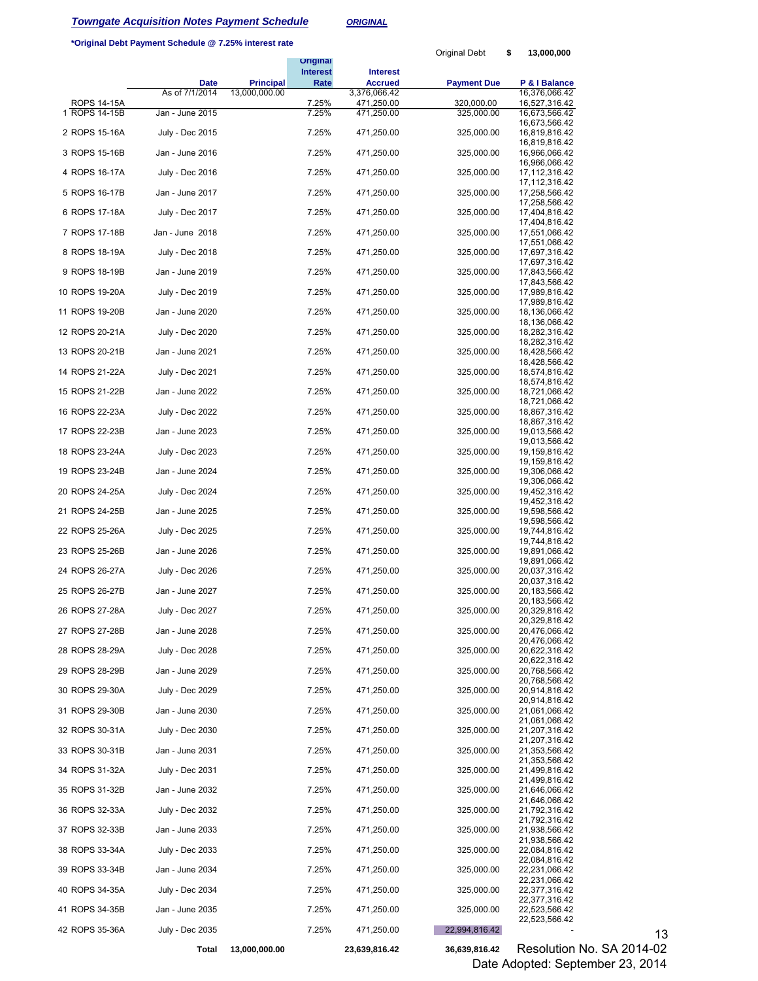### **Towngate Acquisition Notes Payment Schedule** *ORIGINAL*

### **\*Original Debt Payment Schedule @ 7.25% interest rate**

|                                     |                        |               | <b>Original</b>         |                                   | Original Debt            | \$<br>13,000,000               |                           |
|-------------------------------------|------------------------|---------------|-------------------------|-----------------------------------|--------------------------|--------------------------------|---------------------------|
|                                     | <b>Date</b>            | Principal     | <b>Interest</b><br>Rate | <b>Interest</b><br><b>Accrued</b> | <b>Payment Due</b>       | P & I Balance                  |                           |
|                                     | As of 7/1/2014         | 13,000,000.00 |                         | 3,376,066.42                      |                          | 16,376,066.42                  |                           |
| <b>ROPS 14-15A</b><br>1 ROPS 14-15B | Jan - June 2015        |               | 7.25%<br>7.25%          | 471,250.00<br>471,250.00          | 320,000.00<br>325,000.00 | 16,527,316.42<br>16,673,566.42 |                           |
| 2 ROPS 15-16A                       | July - Dec 2015        |               | 7.25%                   | 471,250.00                        | 325,000.00               | 16,673,566.42<br>16,819,816.42 |                           |
| 3 ROPS 15-16B                       | Jan - June 2016        |               | 7.25%                   | 471,250.00                        | 325,000.00               | 16,819,816.42<br>16,966,066.42 |                           |
| 4 ROPS 16-17A                       | July - Dec 2016        |               | 7.25%                   | 471,250.00                        | 325,000.00               | 16,966,066.42<br>17,112,316.42 |                           |
| 5 ROPS 16-17B                       | Jan - June 2017        |               | 7.25%                   | 471,250.00                        | 325,000.00               | 17,112,316.42<br>17,258,566.42 |                           |
| 6 ROPS 17-18A                       | July - Dec 2017        |               | 7.25%                   | 471,250.00                        | 325,000.00               | 17,258,566.42<br>17,404,816.42 |                           |
| 7 ROPS 17-18B                       | Jan - June 2018        |               | 7.25%                   | 471,250.00                        | 325,000.00               | 17,404,816.42<br>17,551,066.42 |                           |
| 8 ROPS 18-19A                       | July - Dec 2018        |               | 7.25%                   | 471,250.00                        | 325,000.00               | 17,551,066.42<br>17,697,316.42 |                           |
|                                     |                        |               | 7.25%                   |                                   |                          | 17,697,316.42                  |                           |
| 9 ROPS 18-19B                       | Jan - June 2019        |               |                         | 471,250.00                        | 325,000.00               | 17,843,566.42<br>17,843,566.42 |                           |
| 10 ROPS 19-20A                      | July - Dec 2019        |               | 7.25%                   | 471,250.00                        | 325,000.00               | 17,989,816.42<br>17,989,816.42 |                           |
| 11 ROPS 19-20B                      | Jan - June 2020        |               | 7.25%                   | 471,250.00                        | 325,000.00               | 18,136,066.42<br>18,136,066.42 |                           |
| 12 ROPS 20-21A                      | July - Dec 2020        |               | 7.25%                   | 471,250.00                        | 325,000.00               | 18,282,316.42<br>18,282,316.42 |                           |
| 13 ROPS 20-21B                      | Jan - June 2021        |               | 7.25%                   | 471,250.00                        | 325,000.00               | 18,428,566.42<br>18,428,566.42 |                           |
| 14 ROPS 21-22A                      | July - Dec 2021        |               | 7.25%                   | 471,250.00                        | 325,000.00               | 18,574,816.42<br>18,574,816.42 |                           |
| 15 ROPS 21-22B                      | Jan - June 2022        |               | 7.25%                   | 471,250.00                        | 325,000.00               | 18,721,066.42<br>18,721,066.42 |                           |
| 16 ROPS 22-23A                      | July - Dec 2022        |               | 7.25%                   | 471,250.00                        | 325,000.00               | 18,867,316.42<br>18,867,316.42 |                           |
| 17 ROPS 22-23B                      | Jan - June 2023        |               | 7.25%                   | 471,250.00                        | 325,000.00               | 19,013,566.42<br>19,013,566.42 |                           |
| 18 ROPS 23-24A                      | July - Dec 2023        |               | 7.25%                   | 471,250.00                        | 325,000.00               | 19,159,816.42<br>19,159,816.42 |                           |
| 19 ROPS 23-24B                      | Jan - June 2024        |               | 7.25%                   | 471,250.00                        | 325,000.00               | 19,306,066.42<br>19,306,066.42 |                           |
| 20 ROPS 24-25A                      | July - Dec 2024        |               | 7.25%                   | 471,250.00                        | 325,000.00               | 19,452,316.42<br>19,452,316.42 |                           |
| 21 ROPS 24-25B                      | Jan - June 2025        |               | 7.25%                   | 471,250.00                        | 325,000.00               | 19,598,566.42<br>19,598,566.42 |                           |
| 22 ROPS 25-26A                      | July - Dec 2025        |               | 7.25%                   | 471,250.00                        | 325,000.00               | 19,744,816.42<br>19,744,816.42 |                           |
| 23 ROPS 25-26B                      | Jan - June 2026        |               | 7.25%                   | 471,250.00                        | 325,000.00               | 19,891,066.42<br>19,891,066.42 |                           |
| 24 ROPS 26-27A                      | <b>July - Dec 2026</b> |               | 7.25%                   | 471,250.00                        | 325,000.00               | 20,037,316.42<br>20,037,316.42 |                           |
| 25 ROPS 26-27B                      | Jan - June 2027        |               | 7.25%                   | 471,250.00                        | 325,000.00               | 20,183,566.42<br>20,183,566.42 |                           |
| 26 ROPS 27-28A                      | July - Dec 2027        |               | 7.25%                   | 471,250.00                        | 325,000.00               | 20,329,816.42<br>20,329,816.42 |                           |
| 27 ROPS 27-28B                      | Jan - June 2028        |               | 7.25%                   | 471,250.00                        | 325,000.00               | 20,476,066.42<br>20,476,066.42 |                           |
| 28 ROPS 28-29A                      | July - Dec 2028        |               | 7.25%                   | 471,250.00                        | 325,000.00               | 20,622,316.42<br>20,622,316.42 |                           |
| 29 ROPS 28-29B                      | Jan - June 2029        |               | 7.25%                   | 471,250.00                        | 325,000.00               | 20,768,566.42<br>20,768,566.42 |                           |
| 30 ROPS 29-30A                      | July - Dec 2029        |               | 7.25%                   | 471,250.00                        | 325,000.00               | 20,914,816.42<br>20,914,816.42 |                           |
| 31 ROPS 29-30B                      | Jan - June 2030        |               | 7.25%                   | 471,250.00                        | 325,000.00               | 21,061,066.42<br>21,061,066.42 |                           |
| 32 ROPS 30-31A                      | July - Dec 2030        |               | 7.25%                   | 471,250.00                        | 325,000.00               | 21,207,316.42<br>21,207,316.42 |                           |
| 33 ROPS 30-31B                      | Jan - June 2031        |               | 7.25%                   | 471,250.00                        | 325,000.00               | 21,353,566.42<br>21,353,566.42 |                           |
| 34 ROPS 31-32A                      | July - Dec 2031        |               | 7.25%                   | 471,250.00                        | 325,000.00               | 21,499,816.42<br>21,499,816.42 |                           |
| 35 ROPS 31-32B                      | Jan - June 2032        |               | 7.25%                   | 471,250.00                        | 325,000.00               | 21,646,066.42<br>21,646,066.42 |                           |
| 36 ROPS 32-33A                      | July - Dec 2032        |               | 7.25%                   | 471,250.00                        | 325,000.00               | 21,792,316.42                  |                           |
| 37 ROPS 32-33B                      | Jan - June 2033        |               | 7.25%                   | 471,250.00                        | 325,000.00               | 21,792,316.42<br>21,938,566.42 |                           |
| 38 ROPS 33-34A                      | July - Dec 2033        |               | 7.25%                   | 471,250.00                        | 325,000.00               | 21,938,566.42<br>22,084,816.42 |                           |
| 39 ROPS 33-34B                      | Jan - June 2034        |               | 7.25%                   | 471,250.00                        | 325,000.00               | 22,084,816.42<br>22,231,066.42 |                           |
| 40 ROPS 34-35A                      | July - Dec 2034        |               | 7.25%                   | 471,250.00                        | 325,000.00               | 22,231,066.42<br>22,377,316.42 |                           |
| 41 ROPS 34-35B                      | Jan - June 2035        |               | 7.25%                   | 471,250.00                        | 325,000.00               | 22,377,316.42<br>22,523,566.42 |                           |
| 42 ROPS 35-36A                      | July - Dec 2035        |               | 7.25%                   | 471,250.00                        | 22,994,816.42            | 22,523,566.42                  | 13                        |
|                                     | Total                  | 13,000,000.00 |                         | 23,639,816.42                     | 36,639,816.42            |                                | Resolution No. SA 2014-02 |

816.42 Resolution No. SA 2014-02 Date Adopted: September 23, 2014